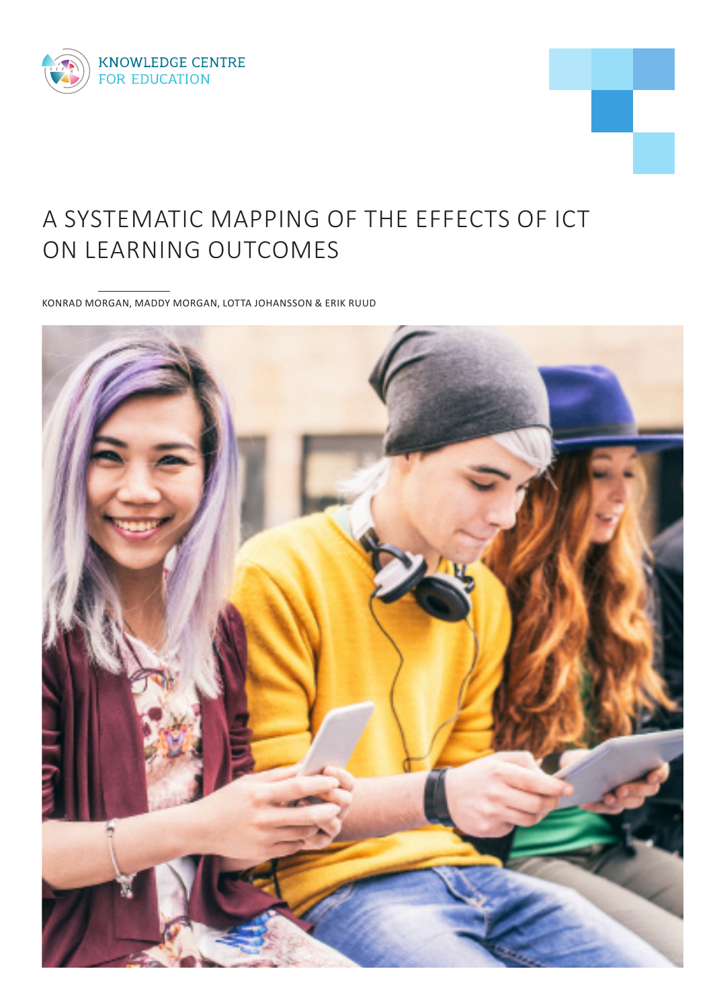



# A SYSTEMATIC MAPPING OF THE EFFECTS OF ICT ON LEARNING OUTCOMES

KONRAD MORGAN, MADDY MORGAN, LOTTA JOHANSSON & ERIK RUUD

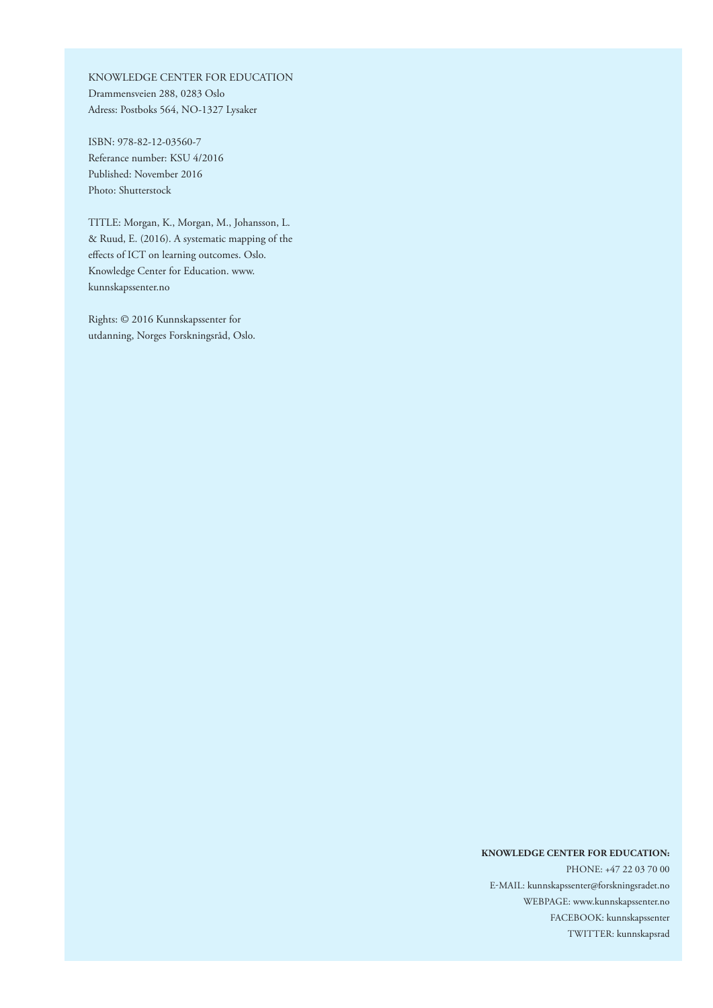KNOWLEDGE CENTER FOR EDUCATION Drammensveien 288, 0283 Oslo Adress: Postboks 564, NO-1327 Lysaker

ISBN: 978-82-12-03560-7 Referance number: KSU 4/2016 Published: November 2016 Photo: Shutterstock

TITLE: Morgan, K., Morgan, M., Johansson, L. & Ruud, E. (2016). A systematic mapping of the effects of ICT on learning outcomes. Oslo. Knowledge Center for Education. www. kunnskapssenter.no

Rights: © 2016 Kunnskapssenter for utdanning, Norges Forskningsråd, Oslo.

#### **KNOWLEDGE CENTER FOR EDUCATION:**

PHONE: +47 22 03 70 00 E-MAIL: kunnskapssenter@forskningsradet.no WEBPAGE: www.kunnskapssenter.no FACEBOOK: kunnskapssenter TWITTER: kunnskapsrad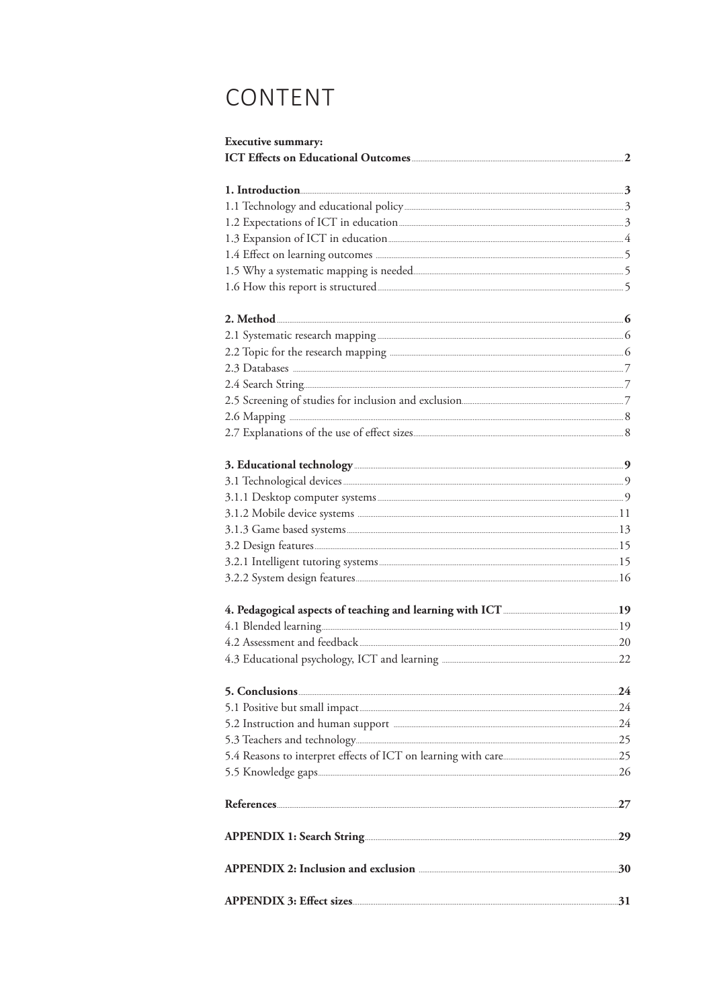# CONTENT

| <b>Executive summary:</b>                                                                                                                                                                                                            |  |
|--------------------------------------------------------------------------------------------------------------------------------------------------------------------------------------------------------------------------------------|--|
|                                                                                                                                                                                                                                      |  |
|                                                                                                                                                                                                                                      |  |
|                                                                                                                                                                                                                                      |  |
|                                                                                                                                                                                                                                      |  |
|                                                                                                                                                                                                                                      |  |
|                                                                                                                                                                                                                                      |  |
|                                                                                                                                                                                                                                      |  |
|                                                                                                                                                                                                                                      |  |
| 1.6 How this report is structured <b>Construction and the Constantine Constantine Constantine Constantine Constantine Constantine Constantine Constantine Constantine Constantine Constantine Constantine Constantine Constantin</b> |  |
|                                                                                                                                                                                                                                      |  |
|                                                                                                                                                                                                                                      |  |
|                                                                                                                                                                                                                                      |  |
|                                                                                                                                                                                                                                      |  |
|                                                                                                                                                                                                                                      |  |
|                                                                                                                                                                                                                                      |  |
|                                                                                                                                                                                                                                      |  |
|                                                                                                                                                                                                                                      |  |
|                                                                                                                                                                                                                                      |  |
|                                                                                                                                                                                                                                      |  |
|                                                                                                                                                                                                                                      |  |
|                                                                                                                                                                                                                                      |  |
|                                                                                                                                                                                                                                      |  |
|                                                                                                                                                                                                                                      |  |
|                                                                                                                                                                                                                                      |  |
|                                                                                                                                                                                                                                      |  |
|                                                                                                                                                                                                                                      |  |
|                                                                                                                                                                                                                                      |  |
|                                                                                                                                                                                                                                      |  |
|                                                                                                                                                                                                                                      |  |
|                                                                                                                                                                                                                                      |  |
|                                                                                                                                                                                                                                      |  |
|                                                                                                                                                                                                                                      |  |
|                                                                                                                                                                                                                                      |  |
|                                                                                                                                                                                                                                      |  |
|                                                                                                                                                                                                                                      |  |
|                                                                                                                                                                                                                                      |  |
|                                                                                                                                                                                                                                      |  |
|                                                                                                                                                                                                                                      |  |
|                                                                                                                                                                                                                                      |  |
|                                                                                                                                                                                                                                      |  |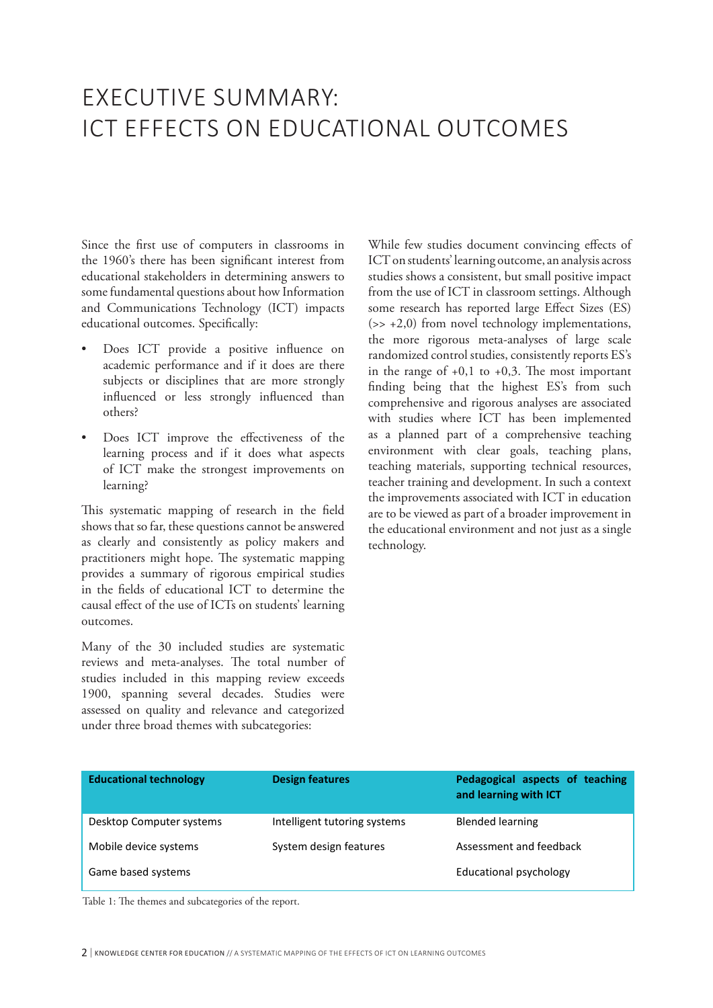# EXECUTIVE SUMMARY: ICT EFFECTS ON EDUCATIONAL OUTCOMES

Since the first use of computers in classrooms in the 1960's there has been significant interest from educational stakeholders in determining answers to some fundamental questions about how Information and Communications Technology (ICT) impacts educational outcomes. Specifically:

- Does ICT provide a positive influence on academic performance and if it does are there subjects or disciplines that are more strongly influenced or less strongly influenced than others?
- Does ICT improve the effectiveness of the learning process and if it does what aspects of ICT make the strongest improvements on learning?

This systematic mapping of research in the field shows that so far, these questions cannot be answered as clearly and consistently as policy makers and practitioners might hope. The systematic mapping provides a summary of rigorous empirical studies in the fields of educational ICT to determine the causal effect of the use of ICTs on students' learning outcomes.

Many of the 30 included studies are systematic reviews and meta-analyses. The total number of studies included in this mapping review exceeds 1900, spanning several decades. Studies were assessed on quality and relevance and categorized under three broad themes with subcategories:

While few studies document convincing effects of ICT on students' learning outcome, an analysis across studies shows a consistent, but small positive impact from the use of ICT in classroom settings. Although some research has reported large Effect Sizes (ES)  $(32 + 2, 0)$  from novel technology implementations, the more rigorous meta-analyses of large scale randomized control studies, consistently reports ES's in the range of  $+0,1$  to  $+0,3$ . The most important finding being that the highest ES's from such comprehensive and rigorous analyses are associated with studies where ICT has been implemented as a planned part of a comprehensive teaching environment with clear goals, teaching plans, teaching materials, supporting technical resources, teacher training and development. In such a context the improvements associated with ICT in education are to be viewed as part of a broader improvement in the educational environment and not just as a single technology.

| <b>Educational technology</b> | <b>Design features</b>       | Pedagogical aspects of teaching<br>and learning with ICT |
|-------------------------------|------------------------------|----------------------------------------------------------|
| Desktop Computer systems      | Intelligent tutoring systems | <b>Blended learning</b>                                  |
| Mobile device systems         | System design features       | Assessment and feedback                                  |
| Game based systems            |                              | Educational psychology                                   |

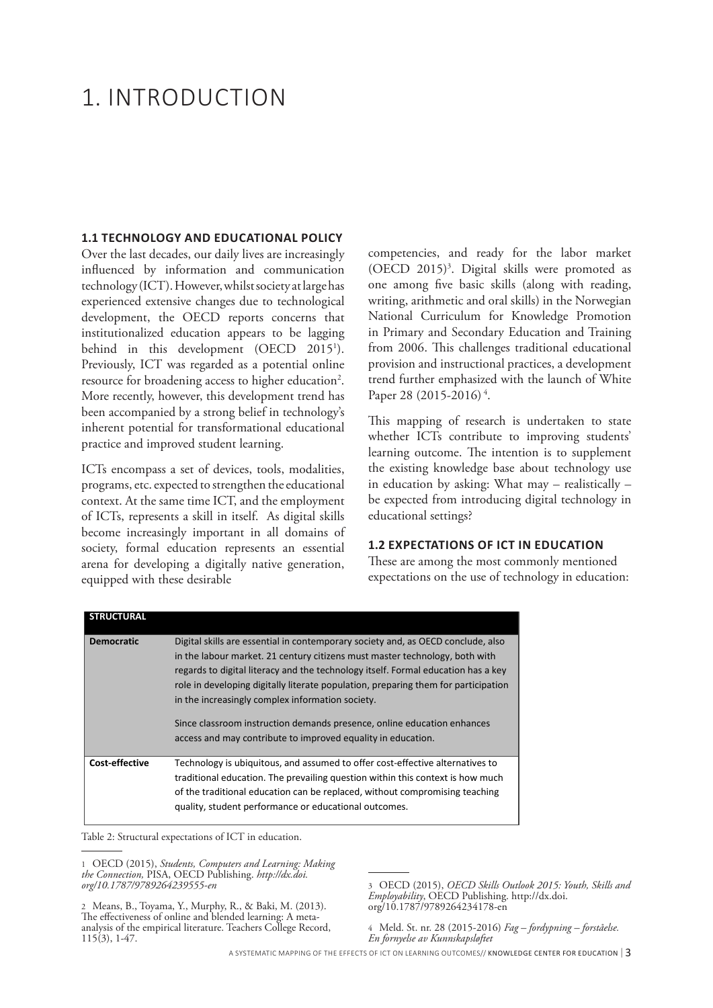# 1. INTRODUCTION

#### **1.1 TECHNOLOGY AND EDUCATIONAL POLICY**

Over the last decades, our daily lives are increasingly influenced by information and communication technology (ICT). However, whilst society at large has experienced extensive changes due to technological development, the OECD reports concerns that institutionalized education appears to be lagging behind in this development (OECD 2015<sup>1</sup>). Previously, ICT was regarded as a potential online resource for broadening access to higher education<sup>2</sup>. More recently, however, this development trend has been accompanied by a strong belief in technology's inherent potential for transformational educational practice and improved student learning.

ICTs encompass a set of devices, tools, modalities, programs, etc. expected to strengthen the educational context. At the same time ICT, and the employment of ICTs, represents a skill in itself. As digital skills become increasingly important in all domains of society, formal education represents an essential arena for developing a digitally native generation, equipped with these desirable

competencies, and ready for the labor market (OECD 2015)3 . Digital skills were promoted as one among five basic skills (along with reading, writing, arithmetic and oral skills) in the Norwegian National Curriculum for Knowledge Promotion in Primary and Secondary Education and Training from 2006. This challenges traditional educational provision and instructional practices, a development trend further emphasized with the launch of White Paper 28 (2015-2016)<sup>4</sup>.

This mapping of research is undertaken to state whether ICTs contribute to improving students' learning outcome. The intention is to supplement the existing knowledge base about technology use in education by asking: What may – realistically – be expected from introducing digital technology in educational settings?

#### **1.2 EXPECTATIONS OF ICT IN EDUCATION**

These are among the most commonly mentioned expectations on the use of technology in education:

| <b>STRUCTURAL</b> |                                                                                                                                                                                                                                                                                                                                                                                                                                                                                                                                           |
|-------------------|-------------------------------------------------------------------------------------------------------------------------------------------------------------------------------------------------------------------------------------------------------------------------------------------------------------------------------------------------------------------------------------------------------------------------------------------------------------------------------------------------------------------------------------------|
| <b>Democratic</b> | Digital skills are essential in contemporary society and, as OECD conclude, also<br>in the labour market. 21 century citizens must master technology, both with<br>regards to digital literacy and the technology itself. Formal education has a key<br>role in developing digitally literate population, preparing them for participation<br>in the increasingly complex information society.<br>Since classroom instruction demands presence, online education enhances<br>access and may contribute to improved equality in education. |
| Cost-effective    | Technology is ubiquitous, and assumed to offer cost-effective alternatives to<br>traditional education. The prevailing question within this context is how much<br>of the traditional education can be replaced, without compromising teaching<br>quality, student performance or educational outcomes.                                                                                                                                                                                                                                   |

Table 2: Structural expectations of ICT in education.

1 OECD (2015), *Students, Computers and Learning: Making the Connection,* PISA, OECD Publishing. *http://dx.doi. org/10.1787/9789264239555-en*

2 Means, B., Toyama, Y., Murphy, R., & Baki, M. (2013). The effectiveness of online and blended learning: A metaanalysis of the empirical literature. Teachers College Record, 115(3), 1-47.

4 Meld. St. nr. 28 (2015-2016) *Fag – fordypning – forståelse. En fornyelse av Kunnskapsløftet*

A SYSTEMATIC MAPPING OF THE EFFECTS OF ICT ON LEARNING OUTCOMES// KNOWLEDGE CENTER FOR EDUCATION | 3

<sup>3</sup> OECD (2015), *OECD Skills Outlook 2015: Youth, Skills and Employability*, OECD Publishing. http://dx.doi. org/10.1787/9789264234178-en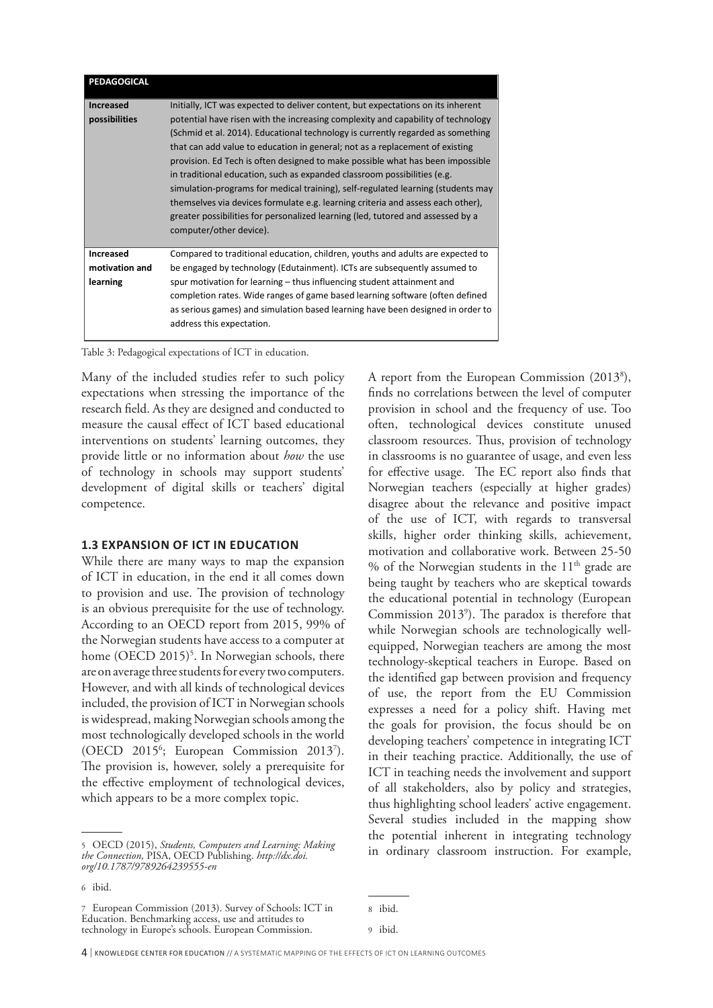| PEDAGOGICAL                                    |                                                                                                                                                                                                                                                                                                                                                                                                                                                                                                                                                                                                                                                                                                                                                                                            |
|------------------------------------------------|--------------------------------------------------------------------------------------------------------------------------------------------------------------------------------------------------------------------------------------------------------------------------------------------------------------------------------------------------------------------------------------------------------------------------------------------------------------------------------------------------------------------------------------------------------------------------------------------------------------------------------------------------------------------------------------------------------------------------------------------------------------------------------------------|
| <b>Increased</b><br>possibilities              | Initially, ICT was expected to deliver content, but expectations on its inherent<br>potential have risen with the increasing complexity and capability of technology<br>(Schmid et al. 2014). Educational technology is currently regarded as something<br>that can add value to education in general; not as a replacement of existing<br>provision. Ed Tech is often designed to make possible what has been impossible<br>in traditional education, such as expanded classroom possibilities (e.g.<br>simulation-programs for medical training), self-regulated learning (students may<br>themselves via devices formulate e.g. learning criteria and assess each other),<br>greater possibilities for personalized learning (led, tutored and assessed by a<br>computer/other device). |
| <b>Increased</b><br>motivation and<br>learning | Compared to traditional education, children, youths and adults are expected to<br>be engaged by technology (Edutainment). ICTs are subsequently assumed to<br>spur motivation for learning – thus influencing student attainment and<br>completion rates. Wide ranges of game based learning software (often defined<br>as serious games) and simulation based learning have been designed in order to<br>address this expectation.                                                                                                                                                                                                                                                                                                                                                        |

Table 3: Pedagogical expectations of ICT in education.

Many of the included studies refer to such policy expectations when stressing the importance of the research field. As they are designed and conducted to measure the causal effect of ICT based educational interventions on students' learning outcomes, they provide little or no information about *how* the use of technology in schools may support students' development of digital skills or teachers' digital competence.

#### **1.3 EXPANSION OF ICT IN EDUCATION**

While there are many ways to map the expansion of ICT in education, in the end it all comes down to provision and use. The provision of technology is an obvious prerequisite for the use of technology. According to an OECD report from 2015, 99% of the Norwegian students have access to a computer at home (OECD 2015)<sup>5</sup>. In Norwegian schools, there are on average three students for every two computers. However, and with all kinds of technological devices included, the provision of ICT in Norwegian schools is widespread, making Norwegian schools among the most technologically developed schools in the world (OECD 2015<sup>6</sup>; European Commission 2013<sup>7</sup>). The provision is, however, solely a prerequisite for the effective employment of technological devices, which appears to be a more complex topic.

A report from the European Commission (20138 ), finds no correlations between the level of computer provision in school and the frequency of use. Too often, technological devices constitute unused classroom resources. Thus, provision of technology in classrooms is no guarantee of usage, and even less for effective usage. The EC report also finds that Norwegian teachers (especially at higher grades) disagree about the relevance and positive impact of the use of ICT, with regards to transversal skills, higher order thinking skills, achievement, motivation and collaborative work. Between 25-50 % of the Norwegian students in the  $11<sup>th</sup>$  grade are being taught by teachers who are skeptical towards the educational potential in technology (European Commission 2013<sup>9</sup>). The paradox is therefore that while Norwegian schools are technologically wellequipped, Norwegian teachers are among the most technology-skeptical teachers in Europe. Based on the identified gap between provision and frequency of use, the report from the EU Commission expresses a need for a policy shift. Having met the goals for provision, the focus should be on developing teachers' competence in integrating ICT in their teaching practice. Additionally, the use of ICT in teaching needs the involvement and support of all stakeholders, also by policy and strategies, thus highlighting school leaders' active engagement. Several studies included in the mapping show the potential inherent in integrating technology in ordinary classroom instruction. For example,

<sup>5</sup> OECD (2015), *Students, Computers and Learning: Making the Connection,* PISA, OECD Publishing. *http://dx.doi. org/10.1787/9789264239555-en*

<sup>6</sup> ibid.

<sup>7</sup> European Commission (2013). Survey of Schools: ICT in Education. Benchmarking access, use and attitudes to technology in Europe's schools. European Commission.

<sup>8</sup> ibid.

<sup>9</sup> ibid.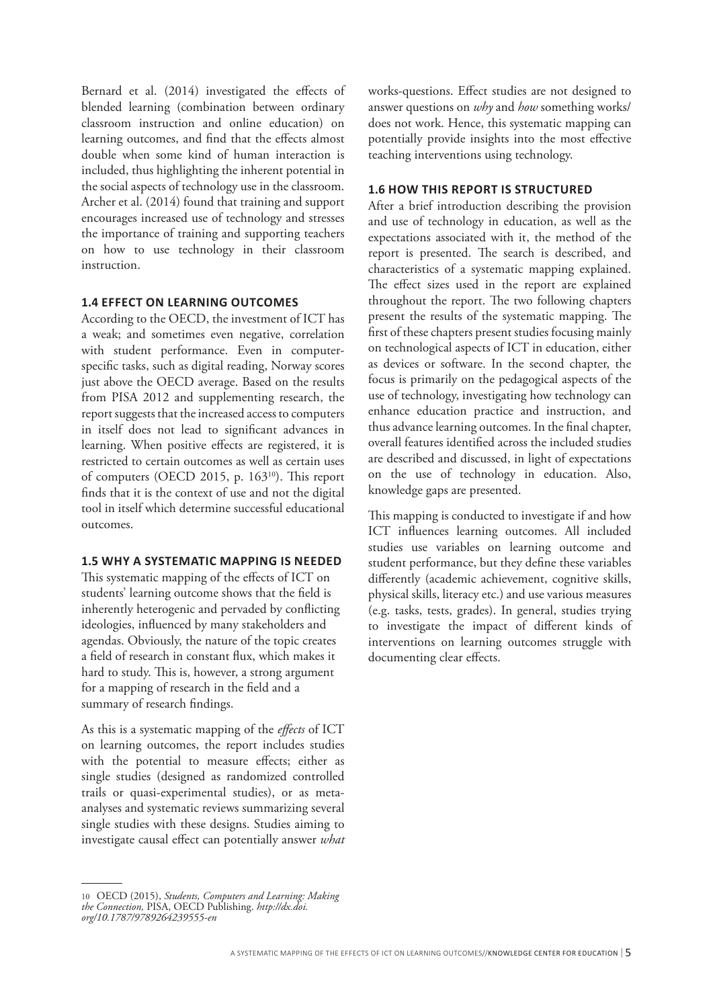Bernard et al. (2014) investigated the effects of blended learning (combination between ordinary classroom instruction and online education) on learning outcomes, and find that the effects almost double when some kind of human interaction is included, thus highlighting the inherent potential in the social aspects of technology use in the classroom. Archer et al. (2014) found that training and support encourages increased use of technology and stresses the importance of training and supporting teachers on how to use technology in their classroom instruction.

#### **1.4 EFFECT ON LEARNING OUTCOMES**

According to the OECD, the investment of ICT has a weak; and sometimes even negative, correlation with student performance. Even in computerspecific tasks, such as digital reading, Norway scores just above the OECD average. Based on the results from PISA 2012 and supplementing research, the report suggests that the increased access to computers in itself does not lead to significant advances in learning. When positive effects are registered, it is restricted to certain outcomes as well as certain uses of computers (OECD 2015, p. 16310). This report finds that it is the context of use and not the digital tool in itself which determine successful educational outcomes.

#### **1.5 WHY A SYSTEMATIC MAPPING IS NEEDED**

This systematic mapping of the effects of ICT on students' learning outcome shows that the field is inherently heterogenic and pervaded by conflicting ideologies, influenced by many stakeholders and agendas. Obviously, the nature of the topic creates a field of research in constant flux, which makes it hard to study. This is, however, a strong argument for a mapping of research in the field and a summary of research findings.

As this is a systematic mapping of the *effects* of ICT on learning outcomes, the report includes studies with the potential to measure effects; either as single studies (designed as randomized controlled trails or quasi-experimental studies), or as metaanalyses and systematic reviews summarizing several single studies with these designs. Studies aiming to investigate causal effect can potentially answer *what*

works-questions. Effect studies are not designed to answer questions on *why* and *how* something works/ does not work. Hence, this systematic mapping can potentially provide insights into the most effective teaching interventions using technology.

#### **1.6 HOW THIS REPORT IS STRUCTURED**

After a brief introduction describing the provision and use of technology in education, as well as the expectations associated with it, the method of the report is presented. The search is described, and characteristics of a systematic mapping explained. The effect sizes used in the report are explained throughout the report. The two following chapters present the results of the systematic mapping. The first of these chapters present studies focusing mainly on technological aspects of ICT in education, either as devices or software. In the second chapter, the focus is primarily on the pedagogical aspects of the use of technology, investigating how technology can enhance education practice and instruction, and thus advance learning outcomes. In the final chapter, overall features identified across the included studies are described and discussed, in light of expectations on the use of technology in education. Also, knowledge gaps are presented.

This mapping is conducted to investigate if and how ICT influences learning outcomes. All included studies use variables on learning outcome and student performance, but they define these variables differently (academic achievement, cognitive skills, physical skills, literacy etc.) and use various measures (e.g. tasks, tests, grades). In general, studies trying to investigate the impact of different kinds of interventions on learning outcomes struggle with documenting clear effects.

<sup>10</sup> OECD (2015), *Students, Computers and Learning: Making the Connection,* PISA, OECD Publishing. *http://dx.doi. org/10.1787/9789264239555-en*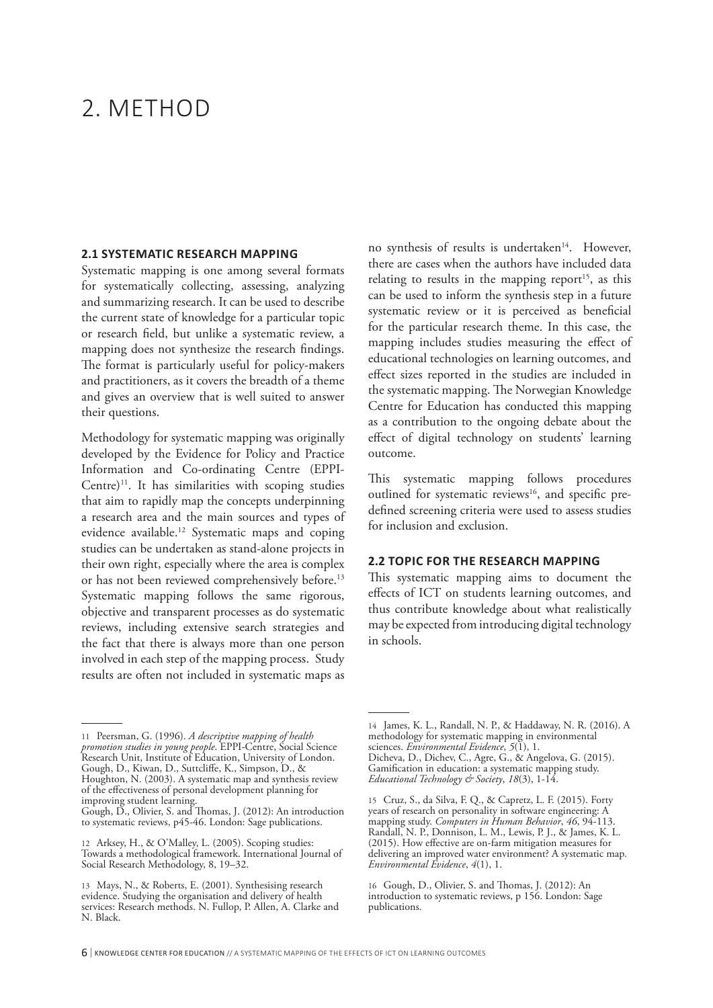# 2. METHOD

#### **2.1 SYSTEMATIC RESEARCH MAPPING**

Systematic mapping is one among several formats for systematically collecting, assessing, analyzing and summarizing research. It can be used to describe the current state of knowledge for a particular topic or research field, but unlike a systematic review, a mapping does not synthesize the research findings. The format is particularly useful for policy-makers and practitioners, as it covers the breadth of a theme and gives an overview that is well suited to answer their questions.

Methodology for systematic mapping was originally developed by the Evidence for Policy and Practice Information and Co-ordinating Centre (EPPI-Centre)<sup>11</sup>. It has similarities with scoping studies that aim to rapidly map the concepts underpinning a research area and the main sources and types of evidence available.12 Systematic maps and coping studies can be undertaken as stand-alone projects in their own right, especially where the area is complex or has not been reviewed comprehensively before.<sup>13</sup> Systematic mapping follows the same rigorous, objective and transparent processes as do systematic reviews, including extensive search strategies and the fact that there is always more than one person involved in each step of the mapping process. Study results are often not included in systematic maps as

11 Peersman, G. (1996). *A descriptive mapping of health promotion studies in young people*. EPPI-Centre, Social Science Research Unit, Institute of Education, University of London. Gough, D., Kiwan, D., Suttcliffe, K., Simpson, D., & Houghton, N. (2003). A systematic map and synthesis review of the effectiveness of personal development planning for improving student learning.

no synthesis of results is undertaken<sup>14</sup>. However, there are cases when the authors have included data relating to results in the mapping report<sup>15</sup>, as this can be used to inform the synthesis step in a future systematic review or it is perceived as beneficial for the particular research theme. In this case, the mapping includes studies measuring the effect of educational technologies on learning outcomes, and effect sizes reported in the studies are included in the systematic mapping. The Norwegian Knowledge Centre for Education has conducted this mapping as a contribution to the ongoing debate about the effect of digital technology on students' learning outcome.

This systematic mapping follows procedures outlined for systematic reviews<sup>16</sup>, and specific predefined screening criteria were used to assess studies for inclusion and exclusion.

#### **2.2 TOPIC FOR THE RESEARCH MAPPING**

This systematic mapping aims to document the effects of ICT on students learning outcomes, and thus contribute knowledge about what realistically may be expected from introducing digital technology in schools.

Gough, D., Olivier, S. and Thomas, J. (2012): An introduction to systematic reviews, p45-46. London: Sage publications.

<sup>12</sup> Arksey, H., & O'Malley, L. (2005). Scoping studies: Towards a methodological framework. International Journal of Social Research Methodology, 8, 19–32.

<sup>13</sup> Mays, N., & Roberts, E. (2001). Synthesising research evidence. Studying the organisation and delivery of health services: Research methods. N. Fullop, P. Allen, A. Clarke and N. Black.

<sup>14</sup> James, K. L., Randall, N. P., & Haddaway, N. R. (2016). A methodology for systematic mapping in environmental sciences. *Environmental Evidence*, *5*(1), 1.

Dicheva, D., Dichev, C., Agre, G., & Angelova, G. (2015). Gamification in education: a systematic mapping study. *Educational Technology & Society*, *18*(3), 1-14.

<sup>15</sup> Cruz, S., da Silva, F. Q., & Capretz, L. F. (2015). Forty years of research on personality in software engineering: A mapping study. *Computers in Human Behavior*, *46*, 94-113. Randall, N. P., Donnison, L. M., Lewis, P. J., & James, K. L. (2015). How effective are on-farm mitigation measures for delivering an improved water environment? A systematic map. *Environmental Evidence*, *4*(1), 1.

<sup>16</sup> Gough, D., Olivier, S. and Thomas, J. (2012): An introduction to systematic reviews, p 156. London: Sage publications.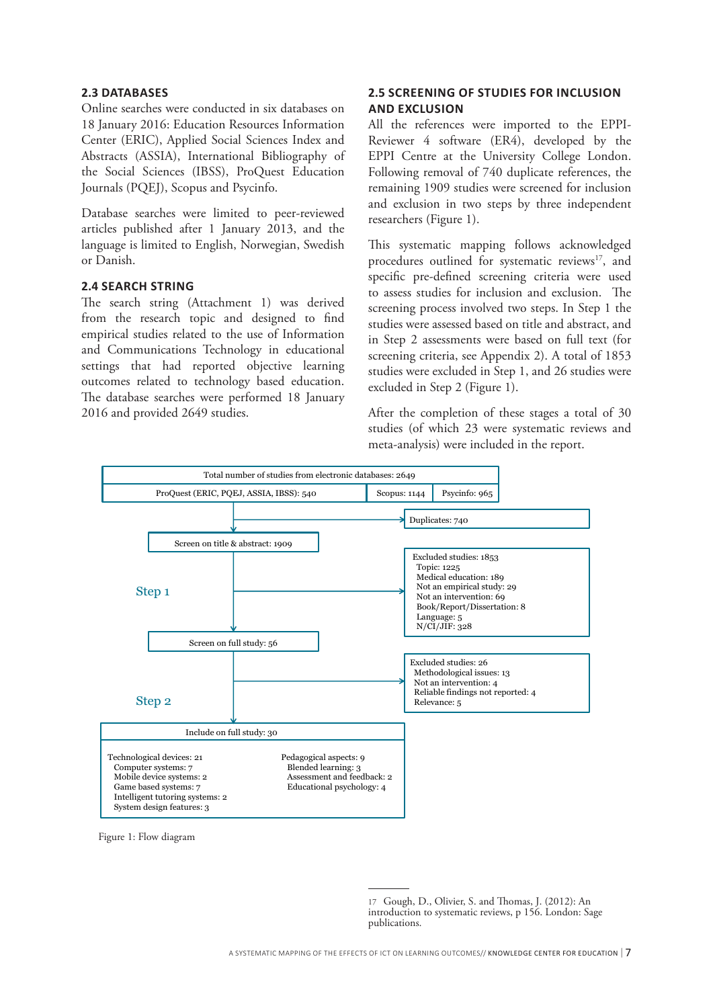#### **2.3 DATABASES**

Online searches were conducted in six databases on 18 January 2016: Education Resources Information Center (ERIC), Applied Social Sciences Index and Abstracts (ASSIA), International Bibliography of the Social Sciences (IBSS), ProQuest Education Journals (PQEJ), Scopus and Psycinfo.

Database searches were limited to peer-reviewed articles published after 1 January 2013, and the language is limited to English, Norwegian, Swedish or Danish.

#### **2.4 SEARCH STRING**

The search string (Attachment 1) was derived from the research topic and designed to find empirical studies related to the use of Information and Communications Technology in educational settings that had reported objective learning outcomes related to technology based education. The database searches were performed 18 January 2016 and provided 2649 studies.

## **2.5 SCREENING OF STUDIES FOR INCLUSION AND EXCLUSION**

All the references were imported to the EPPI-Reviewer 4 software (ER4), developed by the EPPI Centre at the University College London. Following removal of 740 duplicate references, the remaining 1909 studies were screened for inclusion and exclusion in two steps by three independent researchers (Figure 1).

This systematic mapping follows acknowledged procedures outlined for systematic reviews<sup>17</sup>, and specific pre-defined screening criteria were used to assess studies for inclusion and exclusion. The screening process involved two steps. In Step 1 the studies were assessed based on title and abstract, and in Step 2 assessments were based on full text (for screening criteria, see Appendix 2). A total of 1853 studies were excluded in Step 1, and 26 studies were excluded in Step 2 (Figure 1).

After the completion of these stages a total of 30 studies (of which 23 were systematic reviews and meta-analysis) were included in the report.



Figure 1: Flow diagram

<sup>17</sup> Gough, D., Olivier, S. and Thomas, J. (2012): An introduction to systematic reviews, p 156. London: Sage publications.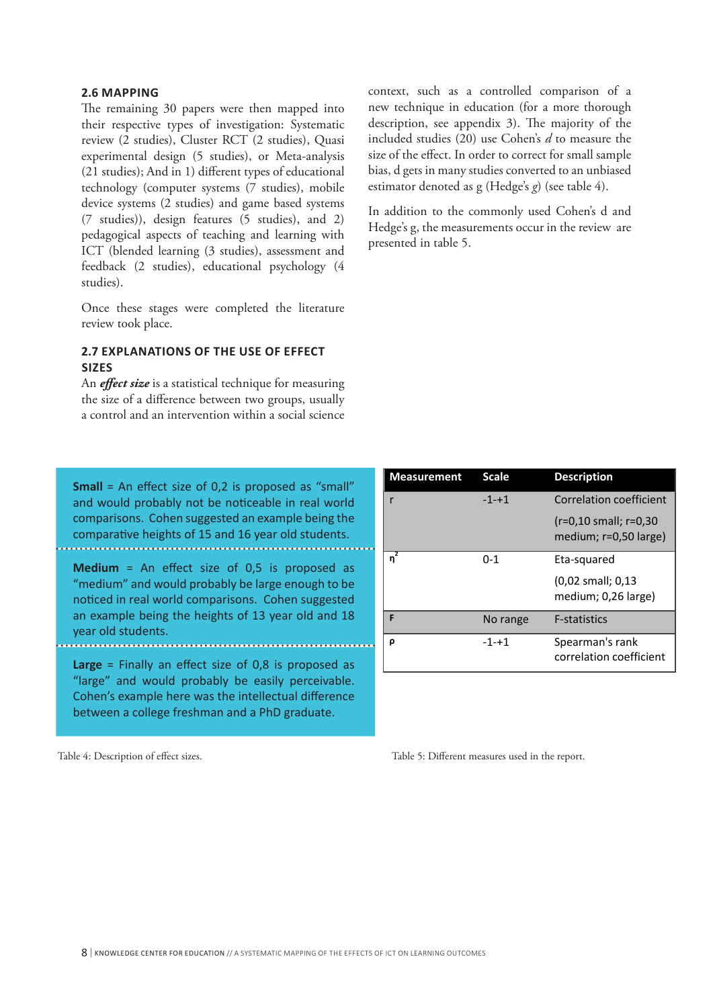#### **2.6 MAPPING**

The remaining 30 papers were then mapped into their respective types of investigation: Systematic review (2 studies), Cluster RCT (2 studies), Quasi experimental design (5 studies), or Meta-analysis (21 studies); And in 1) different types of educational technology (computer systems (7 studies), mobile device systems (2 studies) and game based systems (7 studies)), design features (5 studies), and 2) pedagogical aspects of teaching and learning with ICT (blended learning (3 studies), assessment and feedback (2 studies), educational psychology (4 studies).

Once these stages were completed the literature review took place.

## **2.7 EXPLANATIONS OF THE USE OF EFFECT SIZES**

An *effect size* is a statistical technique for measuring the size of a difference between two groups, usually a control and an intervention within a social science

**Small** = An effect size of 0,2 is proposed as "small" and would probably not be noticeable in real world comparisons. Cohen suggested an example being the comparative heights of 15 and 16 year old students.

**Medium** = An effect size of 0,5 is proposed as "medium" and would probably be large enough to be noticed in real world comparisons. Cohen suggested an example being the heights of 13 year old and 18 year old students.

**Large** = Finally an effect size of 0,8 is proposed as "large" and would probably be easily perceivable. Cohen's example here was the intellectual difference between a college freshman and a PhD graduate.

Table 4: Description of effect sizes.

context, such as a controlled comparison of a new technique in education (for a more thorough description, see appendix 3). The majority of the included studies (20) use Cohen's *d* to measure the size of the effect. In order to correct for small sample bias, d gets in many studies converted to an unbiased estimator denoted as g (Hedge's *g*) (see table 4).

In addition to the commonly used Cohen's d and Hedge's g, the measurements occur in the review are presented in table 5.

| <b>Measurement</b>  | <b>Scale</b> | <b>Description</b>                                          |
|---------------------|--------------|-------------------------------------------------------------|
|                     | $-1 - + 1$   | Correlation coefficient                                     |
|                     |              | $(r=0.10 \text{ small}; r=0.30)$<br>medium; $r=0.50$ large) |
| $\overline{\eta}^2$ | $0 - 1$      | Eta-squared                                                 |
|                     |              | $(0.02 \text{ small}; 0.13)$                                |
|                     |              | medium; 0,26 large)                                         |
| F                   | No range     | <b>F-statistics</b>                                         |
| ρ                   | $-1 - + 1$   | Spearman's rank                                             |
|                     |              | correlation coefficient                                     |

Table 5: Different measures used in the report.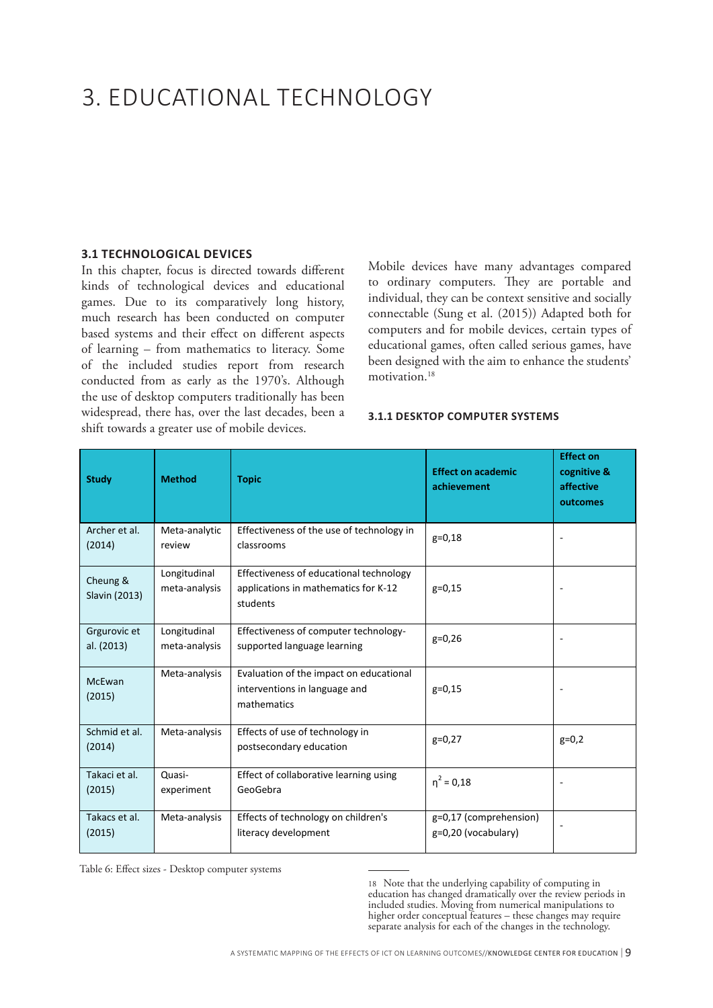# 3. EDUCATIONAL TECHNOLOGY

#### **3.1 TECHNOLOGICAL DEVICES**

In this chapter, focus is directed towards different kinds of technological devices and educational games. Due to its comparatively long history, much research has been conducted on computer based systems and their effect on different aspects of learning – from mathematics to literacy. Some of the included studies report from research conducted from as early as the 1970's. Although the use of desktop computers traditionally has been widespread, there has, over the last decades, been a shift towards a greater use of mobile devices.

Mobile devices have many advantages compared to ordinary computers. They are portable and individual, they can be context sensitive and socially connectable (Sung et al. (2015)) Adapted both for computers and for mobile devices, certain types of educational games, often called serious games, have been designed with the aim to enhance the students' motivation.<sup>18</sup>

#### **3.1.1 DESKTOP COMPUTER SYSTEMS**

| <b>Study</b>               | <b>Method</b>                 | <b>Topic</b>                                                                                | <b>Effect on academic</b><br>achievement      | <b>Effect on</b><br>cognitive &<br>affective<br>outcomes |
|----------------------------|-------------------------------|---------------------------------------------------------------------------------------------|-----------------------------------------------|----------------------------------------------------------|
| Archer et al.<br>(2014)    | Meta-analytic<br>review       | Effectiveness of the use of technology in<br>classrooms                                     | $g=0,18$                                      |                                                          |
| Cheung &<br>Slavin (2013)  | Longitudinal<br>meta-analysis | Effectiveness of educational technology<br>applications in mathematics for K-12<br>students | $g=0,15$                                      |                                                          |
| Grgurovic et<br>al. (2013) | Longitudinal<br>meta-analysis | Effectiveness of computer technology-<br>supported language learning                        | $g=0,26$                                      | $\overline{\phantom{a}}$                                 |
| McEwan<br>(2015)           | Meta-analysis                 | Evaluation of the impact on educational<br>interventions in language and<br>mathematics     | $g=0,15$                                      |                                                          |
| Schmid et al.<br>(2014)    | Meta-analysis                 | Effects of use of technology in<br>postsecondary education                                  | $g=0,27$                                      | $g=0,2$                                                  |
| Takaci et al.<br>(2015)    | Quasi-<br>experiment          | Effect of collaborative learning using<br>GeoGebra                                          | $\eta^2 = 0.18$                               | $\overline{\phantom{a}}$                                 |
| Takacs et al.<br>(2015)    | Meta-analysis                 | Effects of technology on children's<br>literacy development                                 | g=0,17 (comprehension)<br>g=0,20 (vocabulary) |                                                          |

Table 6: Effect sizes - Desktop computer systems

18 Note that the underlying capability of computing in education has changed dramatically over the review periods in included studies. Moving from numerical manipulations to higher order conceptual features – these changes may require separate analysis for each of the changes in the technology.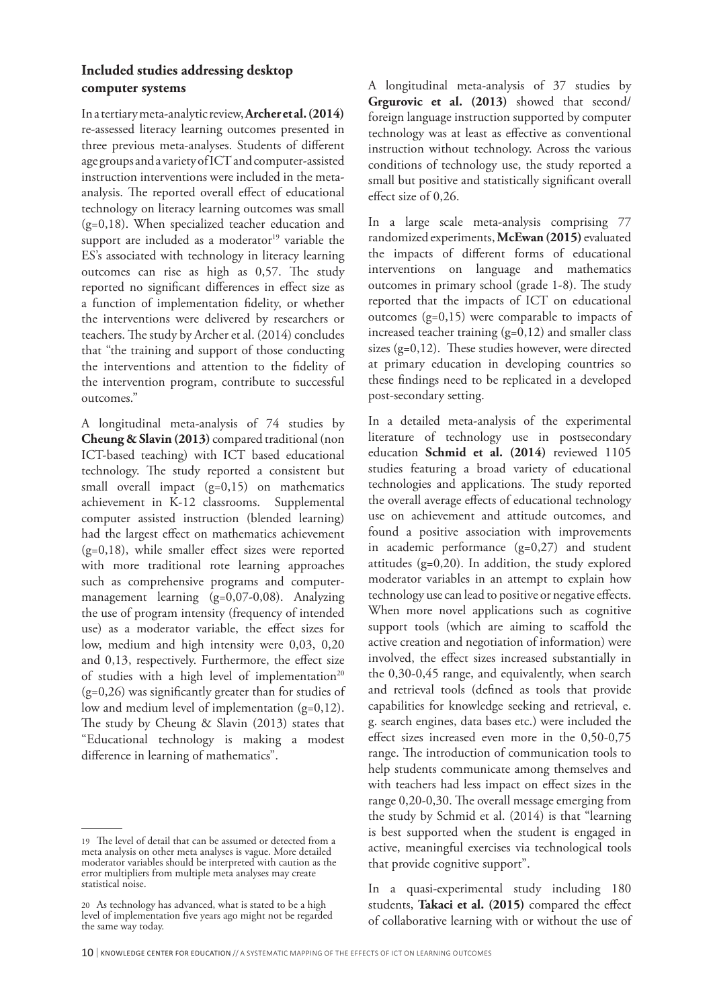# **Included studies addressing desktop computer systems**

In a tertiary meta-analytic review, **Archer et al. (2014)** re-assessed literacy learning outcomes presented in three previous meta-analyses. Students of different age groups and a variety of ICT and computer-assisted instruction interventions were included in the metaanalysis. The reported overall effect of educational technology on literacy learning outcomes was small (g=0,18). When specialized teacher education and support are included as a moderator $19$  variable the ES's associated with technology in literacy learning outcomes can rise as high as 0,57. The study reported no significant differences in effect size as a function of implementation fidelity, or whether the interventions were delivered by researchers or teachers. The study by Archer et al. (2014) concludes that "the training and support of those conducting the interventions and attention to the fidelity of the intervention program, contribute to successful outcomes."

A longitudinal meta-analysis of 74 studies by **Cheung & Slavin (2013)** compared traditional (non ICT-based teaching) with ICT based educational technology. The study reported a consistent but small overall impact  $(g=0,15)$  on mathematics achievement in K-12 classrooms. Supplemental computer assisted instruction (blended learning) had the largest effect on mathematics achievement  $(g=0,18)$ , while smaller effect sizes were reported with more traditional rote learning approaches such as comprehensive programs and computermanagement learning (g=0,07-0,08). Analyzing the use of program intensity (frequency of intended use) as a moderator variable, the effect sizes for low, medium and high intensity were 0,03, 0,20 and 0,13, respectively. Furthermore, the effect size of studies with a high level of implementation<sup>20</sup> (g=0,26) was significantly greater than for studies of low and medium level of implementation (g=0,12). The study by Cheung & Slavin (2013) states that "Educational technology is making a modest difference in learning of mathematics".

A longitudinal meta-analysis of 37 studies by **Grgurovic et al. (2013)** showed that second/ foreign language instruction supported by computer technology was at least as effective as conventional instruction without technology. Across the various conditions of technology use, the study reported a small but positive and statistically significant overall effect size of 0,26.

In a large scale meta-analysis comprising 77 randomized experiments, **McEwan (2015)** evaluated the impacts of different forms of educational interventions on language and mathematics outcomes in primary school (grade 1-8). The study reported that the impacts of ICT on educational outcomes (g=0,15) were comparable to impacts of increased teacher training  $(g=0,12)$  and smaller class sizes (g=0,12). These studies however, were directed at primary education in developing countries so these findings need to be replicated in a developed post-secondary setting.

In a detailed meta-analysis of the experimental literature of technology use in postsecondary education **Schmid et al. (2014)** reviewed 1105 studies featuring a broad variety of educational technologies and applications. The study reported the overall average effects of educational technology use on achievement and attitude outcomes, and found a positive association with improvements in academic performance  $(g=0,27)$  and student attitudes (g=0,20). In addition, the study explored moderator variables in an attempt to explain how technology use can lead to positive or negative effects. When more novel applications such as cognitive support tools (which are aiming to scaffold the active creation and negotiation of information) were involved, the effect sizes increased substantially in the 0,30-0,45 range, and equivalently, when search and retrieval tools (defined as tools that provide capabilities for knowledge seeking and retrieval, e. g. search engines, data bases etc.) were included the effect sizes increased even more in the 0,50-0,75 range. The introduction of communication tools to help students communicate among themselves and with teachers had less impact on effect sizes in the range 0,20-0,30. The overall message emerging from the study by Schmid et al. (2014) is that "learning is best supported when the student is engaged in active, meaningful exercises via technological tools that provide cognitive support".

In a quasi-experimental study including 180 students, **Takaci et al. (2015)** compared the effect of collaborative learning with or without the use of

<sup>19</sup> The level of detail that can be assumed or detected from a meta analysis on other meta analyses is vague. More detailed moderator variables should be interpreted with caution as the error multipliers from multiple meta analyses may create statistical noise.

<sup>20</sup> As technology has advanced, what is stated to be a high level of implementation five years ago might not be regarded the same way today.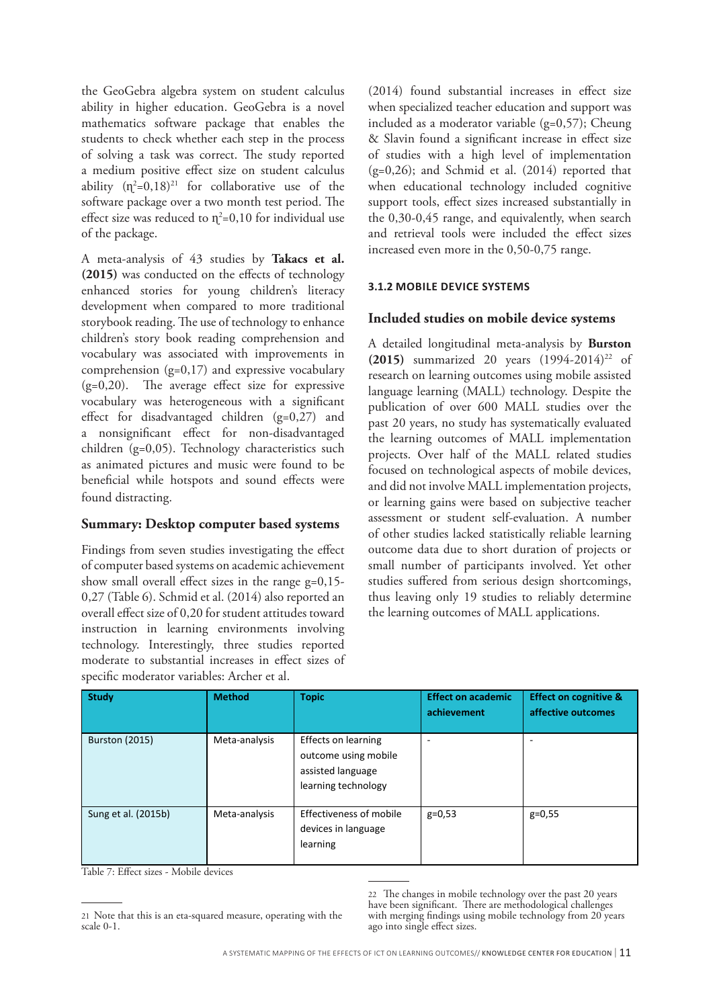the GeoGebra algebra system on student calculus ability in higher education. GeoGebra is a novel mathematics software package that enables the students to check whether each step in the process of solving a task was correct. The study reported a medium positive effect size on student calculus ability  $(n^2=0,18)^{21}$  for collaborative use of the software package over a two month test period. The effect size was reduced to  $\eta^2$ =0,10 for individual use of the package.

A meta-analysis of 43 studies by **Takacs et al. (2015)** was conducted on the effects of technology enhanced stories for young children's literacy development when compared to more traditional storybook reading. The use of technology to enhance children's story book reading comprehension and vocabulary was associated with improvements in comprehension (g=0,17) and expressive vocabulary (g=0,20). The average effect size for expressive vocabulary was heterogeneous with a significant effect for disadvantaged children (g=0,27) and a nonsignificant effect for non-disadvantaged children (g=0,05). Technology characteristics such as animated pictures and music were found to be beneficial while hotspots and sound effects were found distracting.

#### **Summary: Desktop computer based systems**

Findings from seven studies investigating the effect of computer based systems on academic achievement show small overall effect sizes in the range  $g=0,15$ -0,27 (Table 6). Schmid et al. (2014) also reported an overall effect size of 0,20 for student attitudes toward instruction in learning environments involving technology. Interestingly, three studies reported moderate to substantial increases in effect sizes of specific moderator variables: Archer et al.

(2014) found substantial increases in effect size when specialized teacher education and support was included as a moderator variable  $(g=0,57)$ ; Cheung & Slavin found a significant increase in effect size of studies with a high level of implementation (g=0,26); and Schmid et al. (2014) reported that when educational technology included cognitive support tools, effect sizes increased substantially in the 0,30-0,45 range, and equivalently, when search and retrieval tools were included the effect sizes increased even more in the 0,50-0,75 range.

## **3.1.2 MOBILE DEVICE SYSTEMS**

# **Included studies on mobile device systems**

A detailed longitudinal meta-analysis by **Burston (2015)** summarized 20 years  $(1994-2014)^{22}$  of research on learning outcomes using mobile assisted language learning (MALL) technology. Despite the publication of over 600 MALL studies over the past 20 years, no study has systematically evaluated the learning outcomes of MALL implementation projects. Over half of the MALL related studies focused on technological aspects of mobile devices, and did not involve MALL implementation projects, or learning gains were based on subjective teacher assessment or student self-evaluation. A number of other studies lacked statistically reliable learning outcome data due to short duration of projects or small number of participants involved. Yet other studies suffered from serious design shortcomings, thus leaving only 19 studies to reliably determine the learning outcomes of MALL applications.

| <b>Study</b>          | <b>Method</b> | <b>Topic</b>                                                                            | <b>Effect on academic</b><br>achievement | <b>Effect on cognitive &amp;</b><br>affective outcomes |
|-----------------------|---------------|-----------------------------------------------------------------------------------------|------------------------------------------|--------------------------------------------------------|
| <b>Burston (2015)</b> | Meta-analysis | Effects on learning<br>outcome using mobile<br>assisted language<br>learning technology | -                                        | ۰                                                      |
| Sung et al. (2015b)   | Meta-analysis | Effectiveness of mobile<br>devices in language<br>learning                              | $g=0,53$                                 | $g=0,55$                                               |

Table 7: Effect sizes - Mobile devices

<sup>21</sup> Note that this is an eta-squared measure, operating with the scale 0-1.

<sup>22</sup> The changes in mobile technology over the past 20 years have been significant. There are methodological challenges with merging findings using mobile technology from 20 years ago into single effect sizes.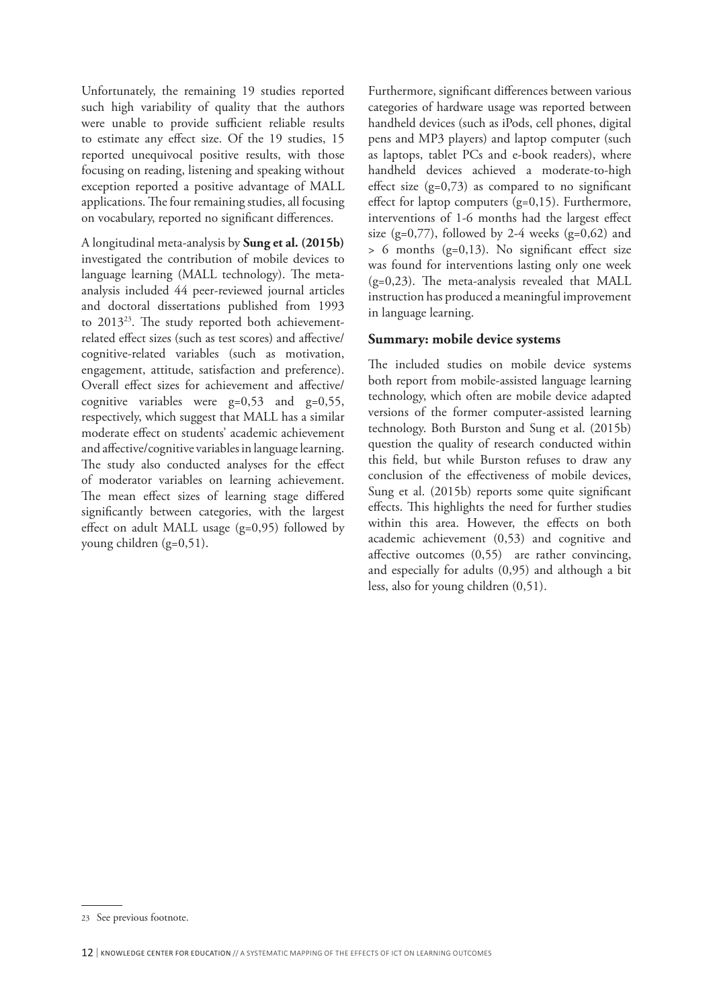Unfortunately, the remaining 19 studies reported such high variability of quality that the authors were unable to provide sufficient reliable results to estimate any effect size. Of the 19 studies, 15 reported unequivocal positive results, with those focusing on reading, listening and speaking without exception reported a positive advantage of MALL applications. The four remaining studies, all focusing on vocabulary, reported no significant differences.

A longitudinal meta-analysis by **Sung et al. (2015b)** investigated the contribution of mobile devices to language learning (MALL technology). The metaanalysis included 44 peer-reviewed journal articles and doctoral dissertations published from 1993 to 201323. The study reported both achievementrelated effect sizes (such as test scores) and affective/ cognitive-related variables (such as motivation, engagement, attitude, satisfaction and preference). Overall effect sizes for achievement and affective/ cognitive variables were g=0,53 and g=0,55, respectively, which suggest that MALL has a similar moderate effect on students' academic achievement and affective/cognitive variables in language learning. The study also conducted analyses for the effect of moderator variables on learning achievement. The mean effect sizes of learning stage differed significantly between categories, with the largest effect on adult MALL usage (g=0,95) followed by young children (g=0,51).

Furthermore, significant differences between various categories of hardware usage was reported between handheld devices (such as iPods, cell phones, digital pens and MP3 players) and laptop computer (such as laptops, tablet PCs and e-book readers), where handheld devices achieved a moderate-to-high effect size  $(g=0,73)$  as compared to no significant effect for laptop computers (g=0,15). Furthermore, interventions of 1-6 months had the largest effect size (g=0,77), followed by 2-4 weeks (g=0,62) and > 6 months (g=0,13). No significant effect size was found for interventions lasting only one week (g=0,23). The meta-analysis revealed that MALL instruction has produced a meaningful improvement in language learning.

#### **Summary: mobile device systems**

The included studies on mobile device systems both report from mobile-assisted language learning technology, which often are mobile device adapted versions of the former computer-assisted learning technology. Both Burston and Sung et al. (2015b) question the quality of research conducted within this field, but while Burston refuses to draw any conclusion of the effectiveness of mobile devices, Sung et al. (2015b) reports some quite significant effects. This highlights the need for further studies within this area. However, the effects on both academic achievement (0,53) and cognitive and affective outcomes (0,55) are rather convincing, and especially for adults (0,95) and although a bit less, also for young children (0,51).

<sup>23</sup> See previous footnote.

<sup>12</sup> <sup>|</sup> KNOWLEDGE CENTER FOR EDUCATION // A SYSTEMATIC MAPPING OF THE EFFECTS OF ICT ON LEARNING OUTCOMES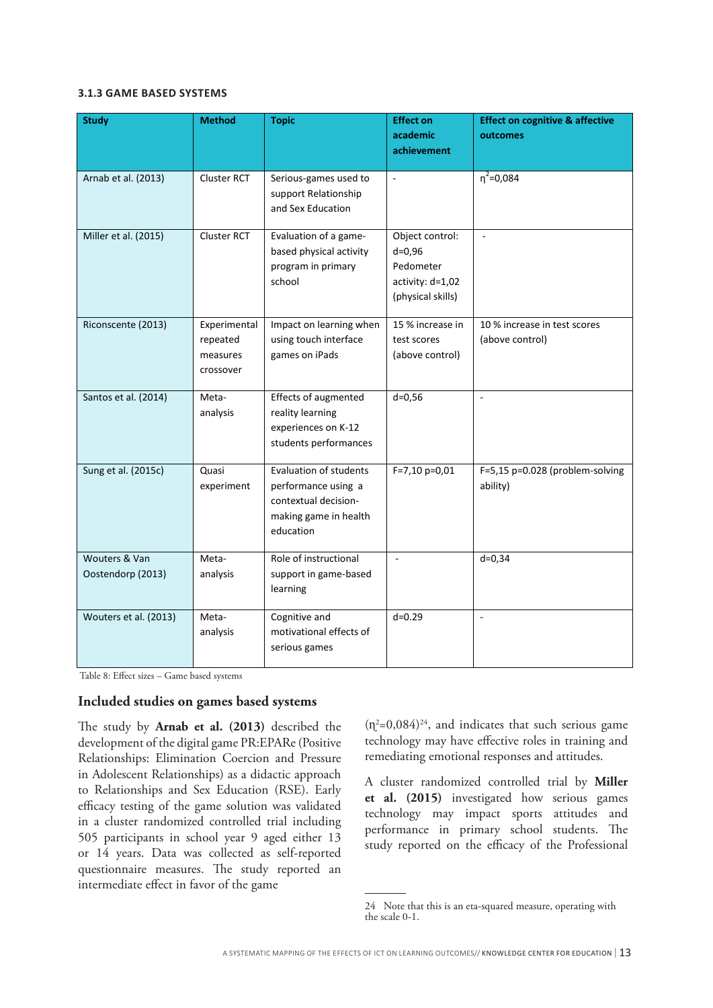#### **3.1.3 GAME BASED SYSTEMS**

| <b>Study</b>                       | <b>Method</b>                                     | <b>Topic</b>                                                                                                       | <b>Effect on</b><br>academic<br>achievement                                         | <b>Effect on cognitive &amp; affective</b><br>outcomes |
|------------------------------------|---------------------------------------------------|--------------------------------------------------------------------------------------------------------------------|-------------------------------------------------------------------------------------|--------------------------------------------------------|
| Arnab et al. (2013)                | Cluster RCT                                       | Serious-games used to<br>support Relationship<br>and Sex Education                                                 | $\omega$                                                                            | $\eta^2 = 0.084$                                       |
| Miller et al. (2015)               | Cluster RCT                                       | Evaluation of a game-<br>based physical activity<br>program in primary<br>school                                   | Object control:<br>$d = 0,96$<br>Pedometer<br>activity: d=1,02<br>(physical skills) | ÷.                                                     |
| Riconscente (2013)                 | Experimental<br>repeated<br>measures<br>crossover | Impact on learning when<br>using touch interface<br>games on iPads                                                 | 15 % increase in<br>test scores<br>(above control)                                  | 10 % increase in test scores<br>(above control)        |
| Santos et al. (2014)               | Meta-<br>analysis                                 | Effects of augmented<br>reality learning<br>experiences on K-12<br>students performances                           | $d = 0,56$                                                                          | $\overline{\phantom{a}}$                               |
| Sung et al. (2015c)                | Quasi<br>experiment                               | <b>Evaluation of students</b><br>performance using a<br>contextual decision-<br>making game in health<br>education | $F=7,10 p=0,01$                                                                     | F=5,15 p=0.028 (problem-solving<br>ability)            |
| Wouters & Van<br>Oostendorp (2013) | Meta-<br>analysis                                 | Role of instructional<br>support in game-based<br>learning                                                         | $\sim$                                                                              | $d=0,34$                                               |
| Wouters et al. (2013)              | Meta-<br>analysis                                 | Cognitive and<br>motivational effects of<br>serious games                                                          | $d = 0.29$                                                                          | $\sim$                                                 |

Table 8: Effect sizes – Game based systems

#### **Included studies on games based systems**

The study by **Arnab et al. (2013)** described the development of the digital game PR:EPARe (Positive Relationships: Elimination Coercion and Pressure in Adolescent Relationships) as a didactic approach to Relationships and Sex Education (RSE). Early efficacy testing of the game solution was validated in a cluster randomized controlled trial including 505 participants in school year 9 aged either 13 or 14 years. Data was collected as self-reported questionnaire measures. The study reported an intermediate effect in favor of the game

 $(n^2=0.084)^{24}$ , and indicates that such serious game technology may have effective roles in training and remediating emotional responses and attitudes.

A cluster randomized controlled trial by **Miller et al. (2015)** investigated how serious games technology may impact sports attitudes and performance in primary school students. The study reported on the efficacy of the Professional

<sup>24</sup> Note that this is an eta-squared measure, operating with the scale 0-1.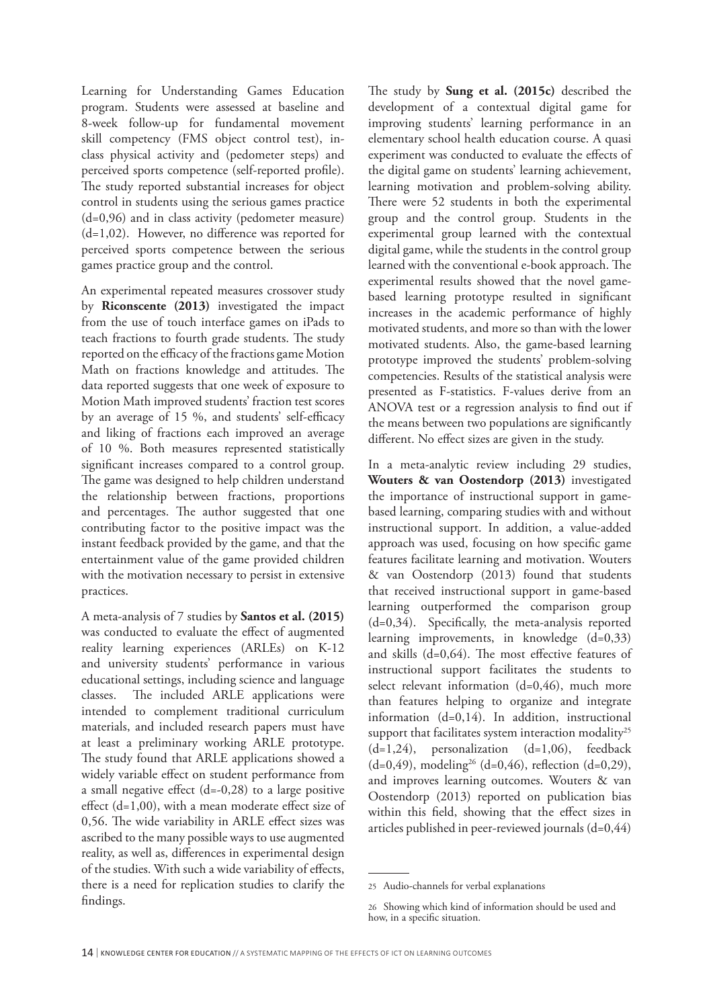Learning for Understanding Games Education program. Students were assessed at baseline and 8-week follow-up for fundamental movement skill competency (FMS object control test), inclass physical activity and (pedometer steps) and perceived sports competence (self-reported profile). The study reported substantial increases for object control in students using the serious games practice (d=0,96) and in class activity (pedometer measure) (d=1,02). However, no difference was reported for perceived sports competence between the serious games practice group and the control.

An experimental repeated measures crossover study by **Riconscente (2013)** investigated the impact from the use of touch interface games on iPads to teach fractions to fourth grade students. The study reported on the efficacy of the fractions game Motion Math on fractions knowledge and attitudes. The data reported suggests that one week of exposure to Motion Math improved students' fraction test scores by an average of 15 %, and students' self-efficacy and liking of fractions each improved an average of 10 %. Both measures represented statistically significant increases compared to a control group. The game was designed to help children understand the relationship between fractions, proportions and percentages. The author suggested that one contributing factor to the positive impact was the instant feedback provided by the game, and that the entertainment value of the game provided children with the motivation necessary to persist in extensive practices.

A meta-analysis of 7 studies by **Santos et al. (2015)** was conducted to evaluate the effect of augmented reality learning experiences (ARLEs) on K-12 and university students' performance in various educational settings, including science and language classes. The included ARLE applications were intended to complement traditional curriculum materials, and included research papers must have at least a preliminary working ARLE prototype. The study found that ARLE applications showed a widely variable effect on student performance from a small negative effect (d=-0,28) to a large positive effect (d=1,00), with a mean moderate effect size of 0,56. The wide variability in ARLE effect sizes was ascribed to the many possible ways to use augmented reality, as well as, differences in experimental design of the studies. With such a wide variability of effects, there is a need for replication studies to clarify the findings.

The study by **Sung et al. (2015c)** described the development of a contextual digital game for improving students' learning performance in an elementary school health education course. A quasi experiment was conducted to evaluate the effects of the digital game on students' learning achievement, learning motivation and problem-solving ability. There were 52 students in both the experimental group and the control group. Students in the experimental group learned with the contextual digital game, while the students in the control group learned with the conventional e-book approach. The experimental results showed that the novel gamebased learning prototype resulted in significant increases in the academic performance of highly motivated students, and more so than with the lower motivated students. Also, the game-based learning prototype improved the students' problem-solving competencies. Results of the statistical analysis were presented as F-statistics. F-values derive from an ANOVA test or a regression analysis to find out if the means between two populations are significantly different. No effect sizes are given in the study.

In a meta-analytic review including 29 studies, **Wouters & van Oostendorp (2013)** investigated the importance of instructional support in gamebased learning, comparing studies with and without instructional support. In addition, a value-added approach was used, focusing on how specific game features facilitate learning and motivation. Wouters & van Oostendorp (2013) found that students that received instructional support in game-based learning outperformed the comparison group (d=0,34). Specifically, the meta-analysis reported learning improvements, in knowledge (d=0,33) and skills (d=0,64). The most effective features of instructional support facilitates the students to select relevant information  $(d=0,46)$ , much more than features helping to organize and integrate information (d=0,14). In addition, instructional support that facilitates system interaction modality<sup>25</sup>  $(d=1,24)$ , personalization  $(d=1,06)$ , feedback  $(d=0,49)$ , modeling<sup>26</sup> (d=0,46), reflection (d=0,29), and improves learning outcomes. Wouters & van Oostendorp (2013) reported on publication bias within this field, showing that the effect sizes in articles published in peer-reviewed journals (d=0,44)

<sup>25</sup> Audio-channels for verbal explanations

<sup>26</sup> Showing which kind of information should be used and how, in a specific situation.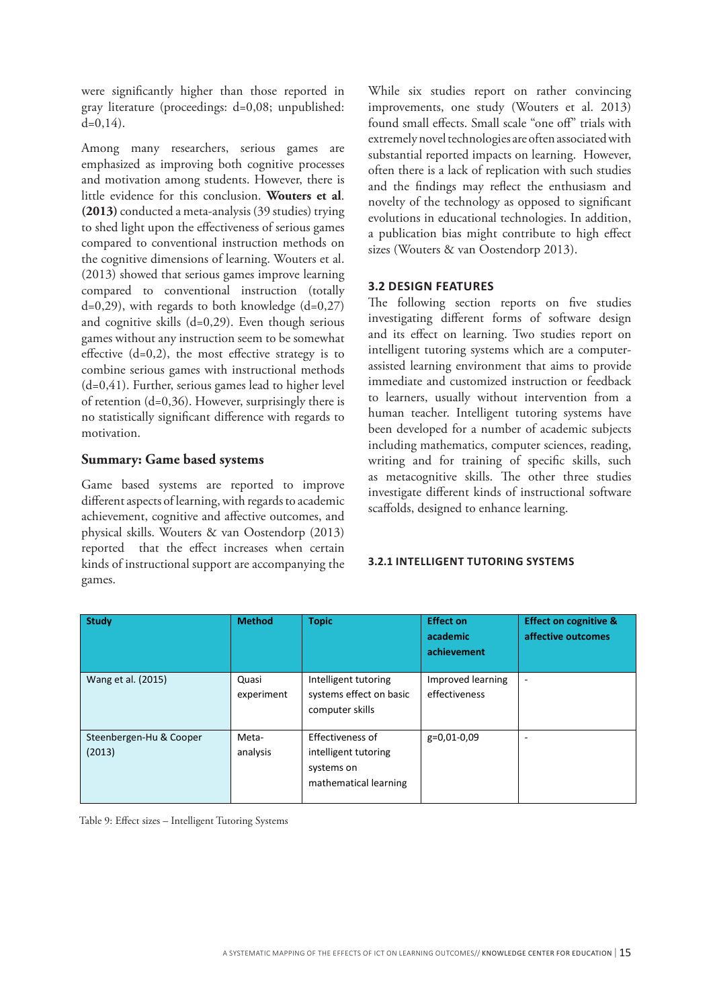were significantly higher than those reported in gray literature (proceedings: d=0,08; unpublished:  $d=0,14$ ).

Among many researchers, serious games are emphasized as improving both cognitive processes and motivation among students. However, there is little evidence for this conclusion. **Wouters et al**. **(2013)** conducted a meta-analysis (39 studies) trying to shed light upon the effectiveness of serious games compared to conventional instruction methods on the cognitive dimensions of learning. Wouters et al. (2013) showed that serious games improve learning compared to conventional instruction (totally  $d=0,29$ ), with regards to both knowledge  $(d=0,27)$ and cognitive skills (d=0,29). Even though serious games without any instruction seem to be somewhat effective  $(d=0,2)$ , the most effective strategy is to combine serious games with instructional methods (d=0,41). Further, serious games lead to higher level of retention (d=0,36). However, surprisingly there is no statistically significant difference with regards to motivation.

## **Summary: Game based systems**

Game based systems are reported to improve different aspects of learning, with regards to academic achievement, cognitive and affective outcomes, and physical skills. Wouters & van Oostendorp (2013) reported that the effect increases when certain kinds of instructional support are accompanying the games.

While six studies report on rather convincing improvements, one study (Wouters et al. 2013) found small effects. Small scale "one off" trials with extremely novel technologies are often associated with substantial reported impacts on learning. However, often there is a lack of replication with such studies and the findings may reflect the enthusiasm and novelty of the technology as opposed to significant evolutions in educational technologies. In addition, a publication bias might contribute to high effect sizes (Wouters & van Oostendorp 2013).

#### **3.2 DESIGN FEATURES**

The following section reports on five studies investigating different forms of software design and its effect on learning. Two studies report on intelligent tutoring systems which are a computerassisted learning environment that aims to provide immediate and customized instruction or feedback to learners, usually without intervention from a human teacher. Intelligent tutoring systems have been developed for a number of academic subjects including mathematics, computer sciences, reading, writing and for training of specific skills, such as metacognitive skills. The other three studies investigate different kinds of instructional software scaffolds, designed to enhance learning.

#### **3.2.1 INTELLIGENT TUTORING SYSTEMS**

| <b>Study</b>                      | <b>Method</b>       | <b>Topic</b>                                                                    | <b>Effect on</b><br>academic<br>achievement | <b>Effect on cognitive &amp;</b><br>affective outcomes |
|-----------------------------------|---------------------|---------------------------------------------------------------------------------|---------------------------------------------|--------------------------------------------------------|
| Wang et al. (2015)                | Quasi<br>experiment | Intelligent tutoring<br>systems effect on basic<br>computer skills              | Improved learning<br>effectiveness          | ۰                                                      |
| Steenbergen-Hu & Cooper<br>(2013) | Meta-<br>analysis   | Effectiveness of<br>intelligent tutoring<br>systems on<br>mathematical learning | g=0,01-0,09                                 | ۰                                                      |

Table 9: Effect sizes – Intelligent Tutoring Systems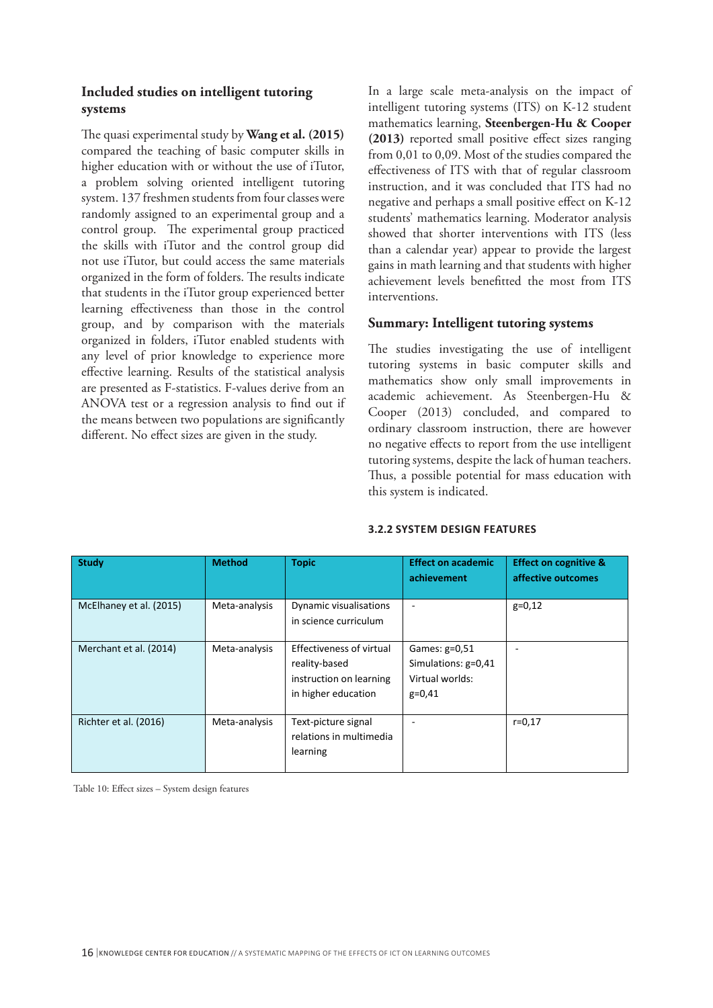# **Included studies on intelligent tutoring systems**

The quasi experimental study by **Wang et al. (2015)** compared the teaching of basic computer skills in higher education with or without the use of iTutor, a problem solving oriented intelligent tutoring system. 137 freshmen students from four classes were randomly assigned to an experimental group and a control group. The experimental group practiced the skills with iTutor and the control group did not use iTutor, but could access the same materials organized in the form of folders. The results indicate that students in the iTutor group experienced better learning effectiveness than those in the control group, and by comparison with the materials organized in folders, iTutor enabled students with any level of prior knowledge to experience more effective learning. Results of the statistical analysis are presented as F-statistics. F-values derive from an ANOVA test or a regression analysis to find out if the means between two populations are significantly different. No effect sizes are given in the study.

In a large scale meta-analysis on the impact of intelligent tutoring systems (ITS) on K-12 student mathematics learning, **Steenbergen-Hu & Cooper (2013)** reported small positive effect sizes ranging from 0,01 to 0,09. Most of the studies compared the effectiveness of ITS with that of regular classroom instruction, and it was concluded that ITS had no negative and perhaps a small positive effect on K-12 students' mathematics learning. Moderator analysis showed that shorter interventions with ITS (less than a calendar year) appear to provide the largest gains in math learning and that students with higher achievement levels benefitted the most from ITS interventions.

## **Summary: Intelligent tutoring systems**

The studies investigating the use of intelligent tutoring systems in basic computer skills and mathematics show only small improvements in academic achievement. As Steenbergen-Hu & Cooper (2013) concluded, and compared to ordinary classroom instruction, there are however no negative effects to report from the use intelligent tutoring systems, despite the lack of human teachers. Thus, a possible potential for mass education with this system is indicated.

|  | <b>3.2.2 SYSTEM DESIGN FEATURES</b> |
|--|-------------------------------------|
|  |                                     |

| <b>Study</b>            | <b>Method</b> | <b>Topic</b>                                                                                | <b>Effect on academic</b><br>achievement                            | <b>Effect on cognitive &amp;</b><br>affective outcomes |
|-------------------------|---------------|---------------------------------------------------------------------------------------------|---------------------------------------------------------------------|--------------------------------------------------------|
| McElhaney et al. (2015) | Meta-analysis | Dynamic visualisations<br>in science curriculum                                             |                                                                     | $g=0,12$                                               |
| Merchant et al. (2014)  | Meta-analysis | Effectiveness of virtual<br>reality-based<br>instruction on learning<br>in higher education | Games: g=0,51<br>Simulations: g=0,41<br>Virtual worlds:<br>$g=0,41$ |                                                        |
| Richter et al. (2016)   | Meta-analysis | Text-picture signal<br>relations in multimedia<br>learning                                  |                                                                     | $r = 0.17$                                             |

Table 10: Effect sizes – System design features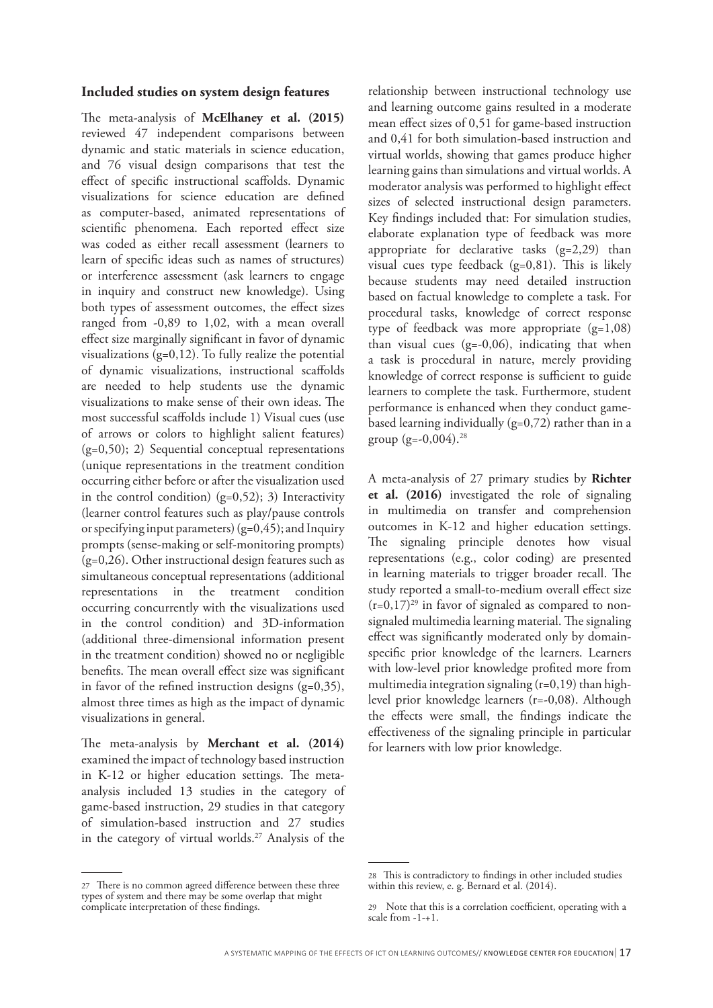#### **Included studies on system design features**

The meta-analysis of **McElhaney et al. (2015)** reviewed 47 independent comparisons between dynamic and static materials in science education, and 76 visual design comparisons that test the effect of specific instructional scaffolds. Dynamic visualizations for science education are defined as computer-based, animated representations of scientific phenomena. Each reported effect size was coded as either recall assessment (learners to learn of specific ideas such as names of structures) or interference assessment (ask learners to engage in inquiry and construct new knowledge). Using both types of assessment outcomes, the effect sizes ranged from -0,89 to 1,02, with a mean overall effect size marginally significant in favor of dynamic visualizations  $(g=0,12)$ . To fully realize the potential of dynamic visualizations, instructional scaffolds are needed to help students use the dynamic visualizations to make sense of their own ideas. The most successful scaffolds include 1) Visual cues (use of arrows or colors to highlight salient features) (g=0,50); 2) Sequential conceptual representations (unique representations in the treatment condition occurring either before or after the visualization used in the control condition)  $(g=0,52)$ ; 3) Interactivity (learner control features such as play/pause controls or specifying input parameters)  $(g=0,45)$ ; and Inquiry prompts (sense-making or self-monitoring prompts) (g=0,26). Other instructional design features such as simultaneous conceptual representations (additional representations in the treatment condition occurring concurrently with the visualizations used in the control condition) and 3D-information (additional three-dimensional information present in the treatment condition) showed no or negligible benefits. The mean overall effect size was significant in favor of the refined instruction designs (g=0,35), almost three times as high as the impact of dynamic visualizations in general.

The meta-analysis by **Merchant et al. (2014)** examined the impact of technology based instruction in K-12 or higher education settings. The metaanalysis included 13 studies in the category of game-based instruction, 29 studies in that category of simulation-based instruction and 27 studies in the category of virtual worlds.<sup>27</sup> Analysis of the relationship between instructional technology use and learning outcome gains resulted in a moderate mean effect sizes of 0,51 for game-based instruction and 0,41 for both simulation-based instruction and virtual worlds, showing that games produce higher learning gains than simulations and virtual worlds. A moderator analysis was performed to highlight effect sizes of selected instructional design parameters. Key findings included that: For simulation studies, elaborate explanation type of feedback was more appropriate for declarative tasks (g=2,29) than visual cues type feedback  $(g=0,81)$ . This is likely because students may need detailed instruction based on factual knowledge to complete a task. For procedural tasks, knowledge of correct response type of feedback was more appropriate (g=1,08) than visual cues  $(g=-0,06)$ , indicating that when a task is procedural in nature, merely providing knowledge of correct response is sufficient to guide learners to complete the task. Furthermore, student performance is enhanced when they conduct gamebased learning individually  $(g=0,72)$  rather than in a group  $(g=-0,004)$ .<sup>28</sup>

A meta-analysis of 27 primary studies by **Richter et al. (2016)** investigated the role of signaling in multimedia on transfer and comprehension outcomes in K-12 and higher education settings. The signaling principle denotes how visual representations (e.g., color coding) are presented in learning materials to trigger broader recall. The study reported a small-to-medium overall effect size  $(r=0,17)^{29}$  in favor of signaled as compared to nonsignaled multimedia learning material. The signaling effect was significantly moderated only by domainspecific prior knowledge of the learners. Learners with low-level prior knowledge profited more from multimedia integration signaling  $(r=0,19)$  than highlevel prior knowledge learners (r=-0,08). Although the effects were small, the findings indicate the effectiveness of the signaling principle in particular for learners with low prior knowledge.

<sup>27</sup> There is no common agreed difference between these three types of system and there may be some overlap that might complicate interpretation of these findings.

<sup>28</sup> This is contradictory to findings in other included studies within this review, e. g. Bernard et al. (2014).

<sup>29</sup> Note that this is a correlation coefficient, operating with a scale from -1-+1.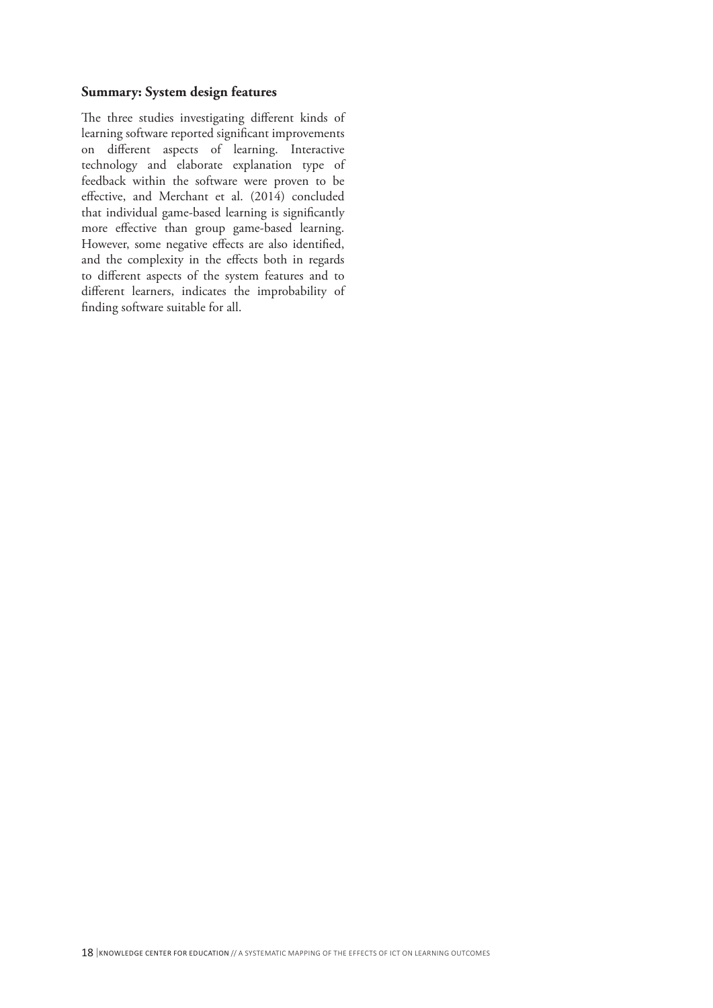#### **Summary: System design features**

The three studies investigating different kinds of learning software reported significant improvements on different aspects of learning. Interactive technology and elaborate explanation type of feedback within the software were proven to be effective, and Merchant et al. (2014) concluded that individual game-based learning is significantly more effective than group game-based learning. However, some negative effects are also identified, and the complexity in the effects both in regards to different aspects of the system features and to different learners, indicates the improbability of finding software suitable for all.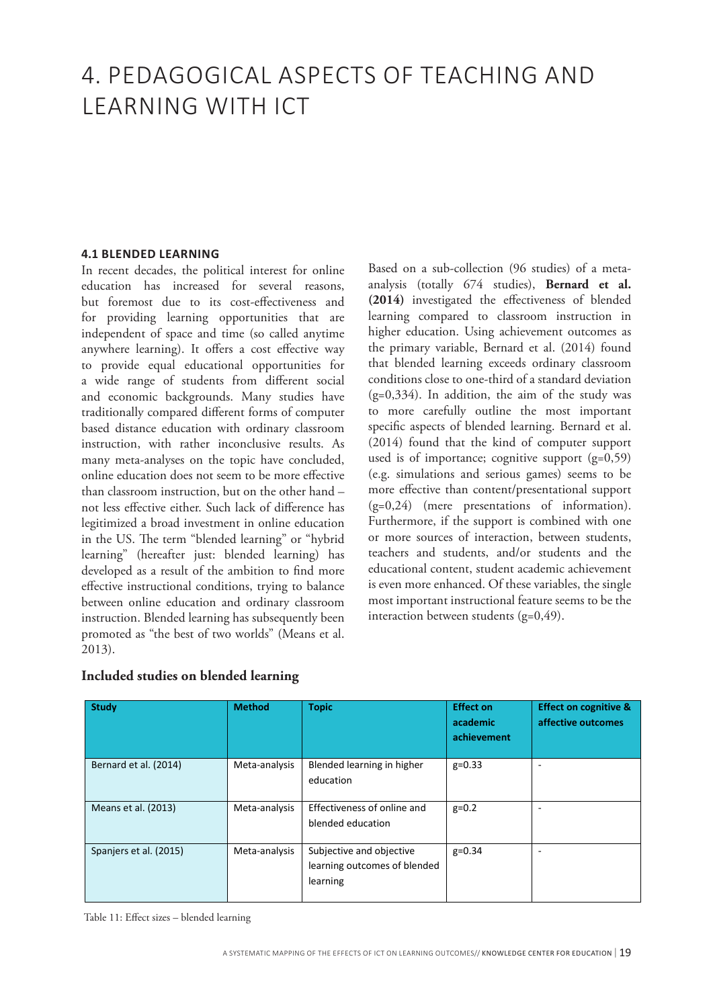# 4. PEDAGOGICAL ASPECTS OF TEACHING AND LEARNING WITH ICT

#### **4.1 BLENDED LEARNING**

In recent decades, the political interest for online education has increased for several reasons, but foremost due to its cost-effectiveness and for providing learning opportunities that are independent of space and time (so called anytime anywhere learning). It offers a cost effective way to provide equal educational opportunities for a wide range of students from different social and economic backgrounds. Many studies have traditionally compared different forms of computer based distance education with ordinary classroom instruction, with rather inconclusive results. As many meta-analyses on the topic have concluded, online education does not seem to be more effective than classroom instruction, but on the other hand – not less effective either. Such lack of difference has legitimized a broad investment in online education in the US. The term "blended learning" or "hybrid learning" (hereafter just: blended learning) has developed as a result of the ambition to find more effective instructional conditions, trying to balance between online education and ordinary classroom instruction. Blended learning has subsequently been promoted as "the best of two worlds" (Means et al. 2013).

Based on a sub-collection (96 studies) of a metaanalysis (totally 674 studies), **Bernard et al. (2014)** investigated the effectiveness of blended learning compared to classroom instruction in higher education. Using achievement outcomes as the primary variable, Bernard et al. (2014) found that blended learning exceeds ordinary classroom conditions close to one-third of a standard deviation  $(g=0,334)$ . In addition, the aim of the study was to more carefully outline the most important specific aspects of blended learning. Bernard et al. (2014) found that the kind of computer support used is of importance; cognitive support  $(g=0,59)$ (e.g. simulations and serious games) seems to be more effective than content/presentational support (g=0,24) (mere presentations of information). Furthermore, if the support is combined with one or more sources of interaction, between students, teachers and students, and/or students and the educational content, student academic achievement is even more enhanced. Of these variables, the single most important instructional feature seems to be the interaction between students (g=0,49).

| <b>Study</b>           | <b>Method</b> | <b>Topic</b>                                                         | <b>Effect on</b><br>academic<br>achievement | <b>Effect on cognitive &amp;</b><br>affective outcomes |
|------------------------|---------------|----------------------------------------------------------------------|---------------------------------------------|--------------------------------------------------------|
| Bernard et al. (2014)  | Meta-analysis | Blended learning in higher<br>education                              | $g=0.33$                                    |                                                        |
| Means et al. (2013)    | Meta-analysis | Effectiveness of online and<br>blended education                     | $g=0.2$                                     |                                                        |
| Spanjers et al. (2015) | Meta-analysis | Subjective and objective<br>learning outcomes of blended<br>learning | $g=0.34$                                    |                                                        |

#### **Included studies on blended learning**

Table 11: Effect sizes – blended learning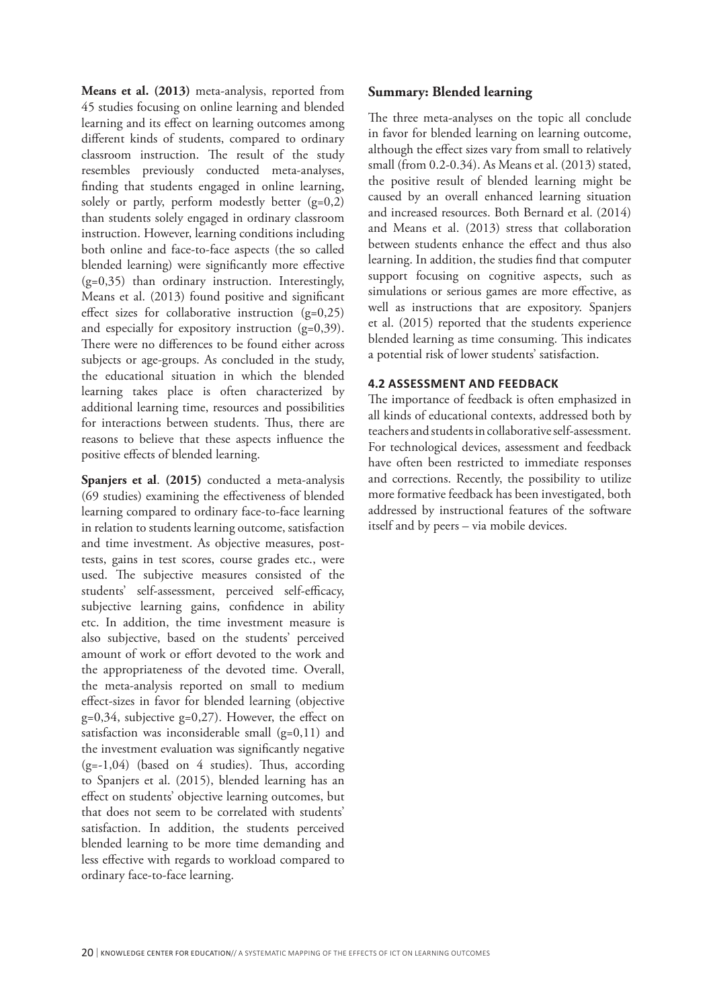**Means et al. (2013)** meta-analysis, reported from 45 studies focusing on online learning and blended learning and its effect on learning outcomes among different kinds of students, compared to ordinary classroom instruction. The result of the study resembles previously conducted meta-analyses, finding that students engaged in online learning, solely or partly, perform modestly better (g=0,2) than students solely engaged in ordinary classroom instruction. However, learning conditions including both online and face-to-face aspects (the so called blended learning) were significantly more effective (g=0,35) than ordinary instruction. Interestingly, Means et al. (2013) found positive and significant effect sizes for collaborative instruction  $(g=0,25)$ and especially for expository instruction  $(g=0,39)$ . There were no differences to be found either across subjects or age-groups. As concluded in the study, the educational situation in which the blended learning takes place is often characterized by additional learning time, resources and possibilities for interactions between students. Thus, there are reasons to believe that these aspects influence the positive effects of blended learning.

**Spanjers et al**. **(2015)** conducted a meta-analysis (69 studies) examining the effectiveness of blended learning compared to ordinary face-to-face learning in relation to students learning outcome, satisfaction and time investment. As objective measures, posttests, gains in test scores, course grades etc., were used. The subjective measures consisted of the students' self-assessment, perceived self-efficacy, subjective learning gains, confidence in ability etc. In addition, the time investment measure is also subjective, based on the students' perceived amount of work or effort devoted to the work and the appropriateness of the devoted time. Overall, the meta-analysis reported on small to medium effect-sizes in favor for blended learning (objective g=0,34, subjective g=0,27). However, the effect on satisfaction was inconsiderable small  $(g=0,11)$  and the investment evaluation was significantly negative (g=-1,04) (based on 4 studies). Thus, according to Spanjers et al. (2015), blended learning has an effect on students' objective learning outcomes, but that does not seem to be correlated with students' satisfaction. In addition, the students perceived blended learning to be more time demanding and less effective with regards to workload compared to ordinary face-to-face learning.

#### **Summary: Blended learning**

The three meta-analyses on the topic all conclude in favor for blended learning on learning outcome, although the effect sizes vary from small to relatively small (from 0.2-0.34). As Means et al. (2013) stated, the positive result of blended learning might be caused by an overall enhanced learning situation and increased resources. Both Bernard et al. (2014) and Means et al. (2013) stress that collaboration between students enhance the effect and thus also learning. In addition, the studies find that computer support focusing on cognitive aspects, such as simulations or serious games are more effective, as well as instructions that are expository. Spanjers et al. (2015) reported that the students experience blended learning as time consuming. This indicates a potential risk of lower students' satisfaction.

#### **4.2 ASSESSMENT AND FEEDBACK**

The importance of feedback is often emphasized in all kinds of educational contexts, addressed both by teachers and students in collaborative self-assessment. For technological devices, assessment and feedback have often been restricted to immediate responses and corrections. Recently, the possibility to utilize more formative feedback has been investigated, both addressed by instructional features of the software itself and by peers – via mobile devices.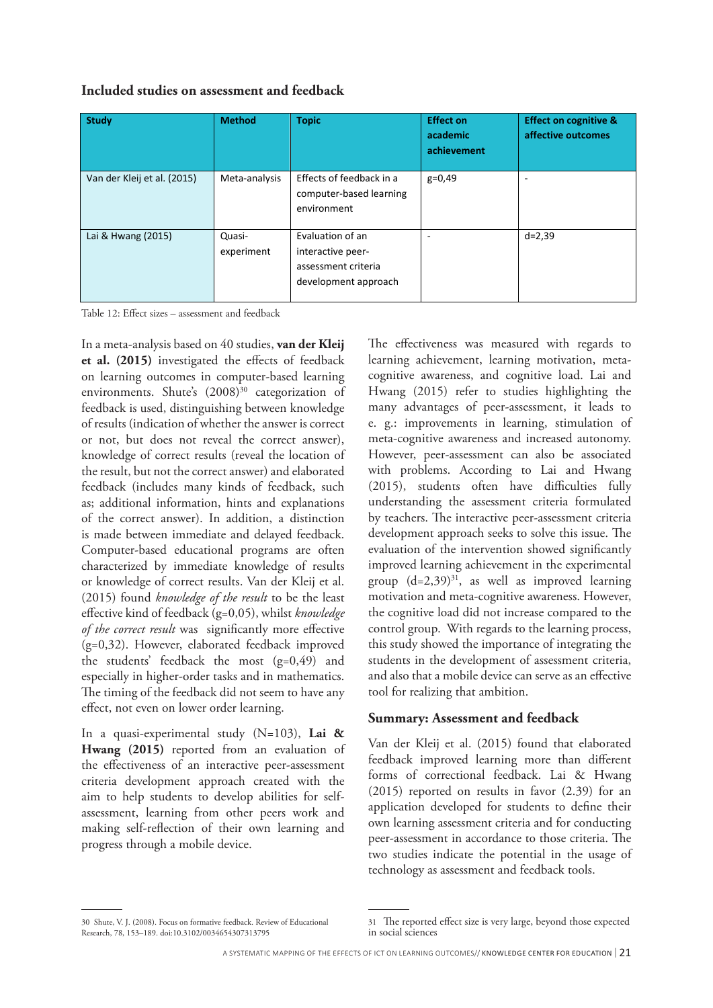#### **Included studies on assessment and feedback**

| <b>Study</b>                | <b>Method</b>        | <b>Topic</b>                                                                         | <b>Effect on</b><br>academic<br>achievement | <b>Effect on cognitive &amp;</b><br>affective outcomes |
|-----------------------------|----------------------|--------------------------------------------------------------------------------------|---------------------------------------------|--------------------------------------------------------|
| Van der Kleij et al. (2015) | Meta-analysis        | Effects of feedback in a<br>computer-based learning<br>environment                   | $g=0,49$                                    | -                                                      |
| Lai & Hwang (2015)          | Quasi-<br>experiment | Evaluation of an<br>interactive peer-<br>assessment criteria<br>development approach | ۰                                           | $d = 2,39$                                             |

Table 12: Effect sizes – assessment and feedback

In a meta-analysis based on 40 studies, **van der Kleij et al. (2015)** investigated the effects of feedback on learning outcomes in computer-based learning environments. Shute's  $(2008)^{30}$  categorization of feedback is used, distinguishing between knowledge of results (indication of whether the answer is correct or not, but does not reveal the correct answer), knowledge of correct results (reveal the location of the result, but not the correct answer) and elaborated feedback (includes many kinds of feedback, such as; additional information, hints and explanations of the correct answer). In addition, a distinction is made between immediate and delayed feedback. Computer-based educational programs are often characterized by immediate knowledge of results or knowledge of correct results. Van der Kleij et al. (2015) found *knowledge of the result* to be the least effective kind of feedback (g=0,05), whilst *knowledge of the correct result* was significantly more effective (g=0,32). However, elaborated feedback improved the students' feedback the most (g=0,49) and especially in higher-order tasks and in mathematics. The timing of the feedback did not seem to have any effect, not even on lower order learning.

In a quasi-experimental study (N=103), **Lai & Hwang (2015)** reported from an evaluation of the effectiveness of an interactive peer-assessment criteria development approach created with the aim to help students to develop abilities for selfassessment, learning from other peers work and making self-reflection of their own learning and progress through a mobile device.

The effectiveness was measured with regards to learning achievement, learning motivation, metacognitive awareness, and cognitive load. Lai and Hwang (2015) refer to studies highlighting the many advantages of peer-assessment, it leads to e. g.: improvements in learning, stimulation of meta-cognitive awareness and increased autonomy. However, peer-assessment can also be associated with problems. According to Lai and Hwang (2015), students often have difficulties fully understanding the assessment criteria formulated by teachers. The interactive peer-assessment criteria development approach seeks to solve this issue. The evaluation of the intervention showed significantly improved learning achievement in the experimental group  $(d=2,39)^{31}$ , as well as improved learning motivation and meta-cognitive awareness. However, the cognitive load did not increase compared to the control group. With regards to the learning process, this study showed the importance of integrating the students in the development of assessment criteria, and also that a mobile device can serve as an effective tool for realizing that ambition.

#### **Summary: Assessment and feedback**

Van der Kleij et al. (2015) found that elaborated feedback improved learning more than different forms of correctional feedback. Lai & Hwang (2015) reported on results in favor (2.39) for an application developed for students to define their own learning assessment criteria and for conducting peer-assessment in accordance to those criteria. The two studies indicate the potential in the usage of technology as assessment and feedback tools.

<sup>30</sup> Shute, V. J. (2008). Focus on formative feedback. Review of Educational Research, 78, 153–189. doi:10.3102/0034654307313795

<sup>31</sup> The reported effect size is very large, beyond those expected in social sciences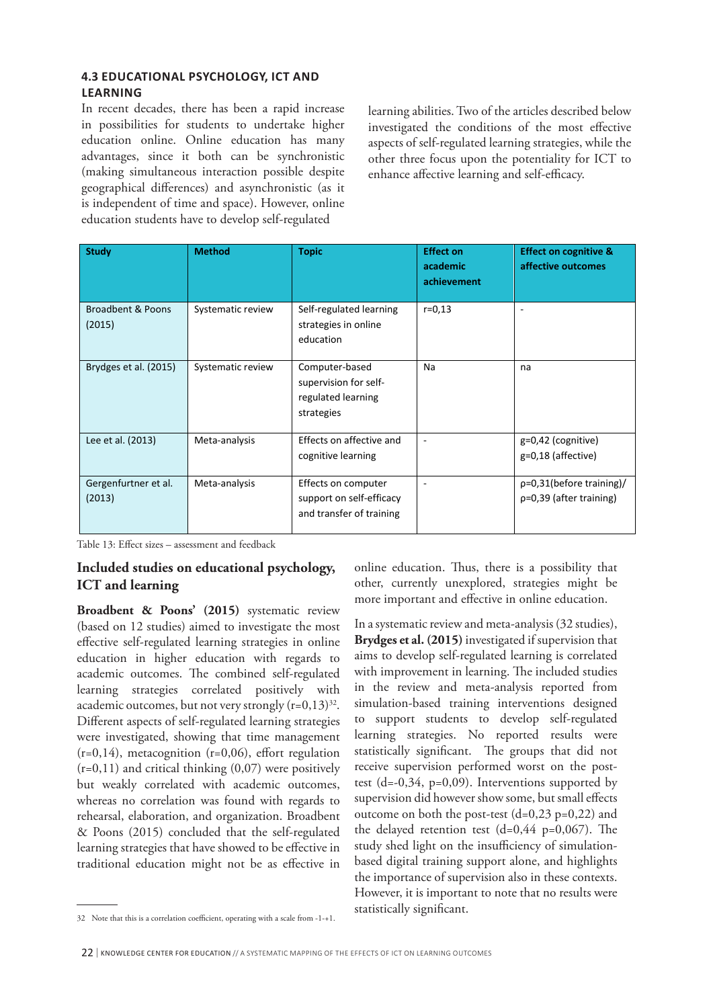# **4.3 EDUCATIONAL PSYCHOLOGY, ICT AND LEARNING**

In recent decades, there has been a rapid increase in possibilities for students to undertake higher education online. Online education has many advantages, since it both can be synchronistic (making simultaneous interaction possible despite geographical differences) and asynchronistic (as it is independent of time and space). However, online education students have to develop self-regulated

learning abilities. Two of the articles described below investigated the conditions of the most effective aspects of self-regulated learning strategies, while the other three focus upon the potentiality for ICT to enhance affective learning and self-efficacy.

| <b>Study</b>                   | <b>Method</b>     | <b>Topic</b>                                                                | <b>Effect on</b><br>academic<br>achievement | <b>Effect on cognitive &amp;</b><br>affective outcomes   |
|--------------------------------|-------------------|-----------------------------------------------------------------------------|---------------------------------------------|----------------------------------------------------------|
| Broadbent & Poons<br>(2015)    | Systematic review | Self-regulated learning<br>strategies in online<br>education                | $r = 0,13$                                  | $\overline{\phantom{a}}$                                 |
| Brydges et al. (2015)          | Systematic review | Computer-based<br>supervision for self-<br>regulated learning<br>strategies | Na                                          | na                                                       |
| Lee et al. (2013)              | Meta-analysis     | Effects on affective and<br>cognitive learning                              | ٠                                           | $g=0,42$ (cognitive)<br>g=0,18 (affective)               |
| Gergenfurtner et al.<br>(2013) | Meta-analysis     | Effects on computer<br>support on self-efficacy<br>and transfer of training | ٠                                           | $p=0,31$ (before training)/<br>$p=0,39$ (after training) |

Table 13: Effect sizes – assessment and feedback

# **Included studies on educational psychology, ICT and learning**

**Broadbent & Poons' (2015)** systematic review (based on 12 studies) aimed to investigate the most effective self-regulated learning strategies in online education in higher education with regards to academic outcomes. The combined self-regulated learning strategies correlated positively with academic outcomes, but not very strongly  $(r=0,13)^{32}$ . Different aspects of self-regulated learning strategies were investigated, showing that time management  $(r=0,14)$ , metacognition  $(r=0,06)$ , effort regulation  $(r=0,11)$  and critical thinking  $(0,07)$  were positively but weakly correlated with academic outcomes, whereas no correlation was found with regards to rehearsal, elaboration, and organization. Broadbent & Poons (2015) concluded that the self-regulated learning strategies that have showed to be effective in traditional education might not be as effective in

online education. Thus, there is a possibility that other, currently unexplored, strategies might be more important and effective in online education.

In a systematic review and meta-analysis (32 studies), **Brydges et al. (2015)** investigated if supervision that aims to develop self-regulated learning is correlated with improvement in learning. The included studies in the review and meta-analysis reported from simulation-based training interventions designed to support students to develop self-regulated learning strategies. No reported results were statistically significant. The groups that did not receive supervision performed worst on the posttest  $(d=-0.34, p=0.09)$ . Interventions supported by supervision did however show some, but small effects outcome on both the post-test  $(d=0,23 \text{ p}=0,22)$  and the delayed retention test  $(d=0.44 \text{ p}=0.067)$ . The study shed light on the insufficiency of simulationbased digital training support alone, and highlights the importance of supervision also in these contexts. However, it is important to note that no results were statistically significant.

<sup>32</sup> Note that this is a correlation coefficient, operating with a scale from -1-+1.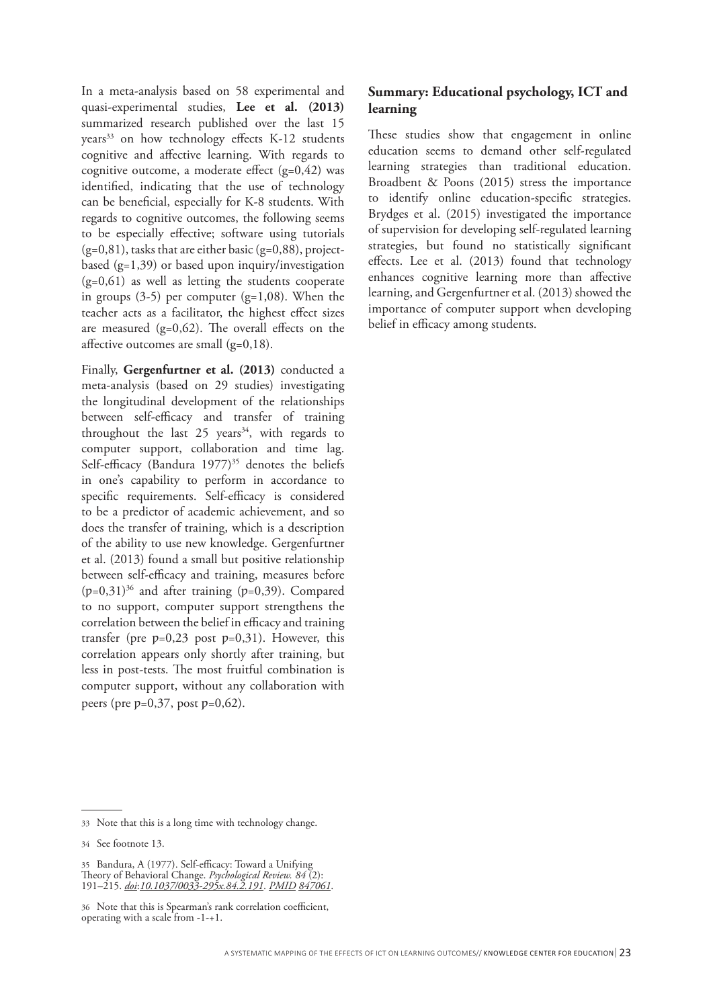In a meta-analysis based on 58 experimental and quasi-experimental studies, **Lee et al. (2013)** summarized research published over the last 15 years<sup>33</sup> on how technology effects K-12 students cognitive and affective learning. With regards to cognitive outcome, a moderate effect  $(g=0,42)$  was identified, indicating that the use of technology can be beneficial, especially for K-8 students. With regards to cognitive outcomes, the following seems to be especially effective; software using tutorials  $(g=0,81)$ , tasks that are either basic  $(g=0,88)$ , projectbased (g=1,39) or based upon inquiry/investigation (g=0,61) as well as letting the students cooperate in groups  $(3-5)$  per computer  $(g=1,08)$ . When the teacher acts as a facilitator, the highest effect sizes are measured  $(g=0,62)$ . The overall effects on the affective outcomes are small (g=0,18).

Finally, **Gergenfurtner et al. (2013)** conducted a meta-analysis (based on 29 studies) investigating the longitudinal development of the relationships between self-efficacy and transfer of training throughout the last  $25$  years<sup>34</sup>, with regards to computer support, collaboration and time lag. Self-efficacy (Bandura 1977)<sup>35</sup> denotes the beliefs in one's capability to perform in accordance to specific requirements. Self-efficacy is considered to be a predictor of academic achievement, and so does the transfer of training, which is a description of the ability to use new knowledge. Gergenfurtner et al. (2013) found a small but positive relationship between self-efficacy and training, measures before  $(p=0,31)^{36}$  and after training  $(p=0,39)$ . Compared to no support, computer support strengthens the correlation between the belief in efficacy and training transfer (pre  $p=0,23$  post  $p=0,31$ ). However, this correlation appears only shortly after training, but less in post-tests. The most fruitful combination is computer support, without any collaboration with peers (pre  $p=0,37$ , post  $p=0,62$ ).

# **Summary: Educational psychology, ICT and learning**

These studies show that engagement in online education seems to demand other self-regulated learning strategies than traditional education. Broadbent & Poons (2015) stress the importance to identify online education-specific strategies. Brydges et al. (2015) investigated the importance of supervision for developing self-regulated learning strategies, but found no statistically significant effects. Lee et al. (2013) found that technology enhances cognitive learning more than affective learning, and Gergenfurtner et al. (2013) showed the importance of computer support when developing belief in efficacy among students.

<sup>33</sup> Note that this is a long time with technology change.

<sup>34</sup> See footnote 13.

<sup>35</sup> Bandura, A (1977). Self-efficacy: Toward a Unifying Theory of Behavioral Change. *Psychological Review. 84* (2): 191–215. *doi*:*10.1037/0033-295x.84.2.191*. *PMID 847061*.

<sup>36</sup> Note that this is Spearman's rank correlation coefficient, operating with a scale from -1-+1.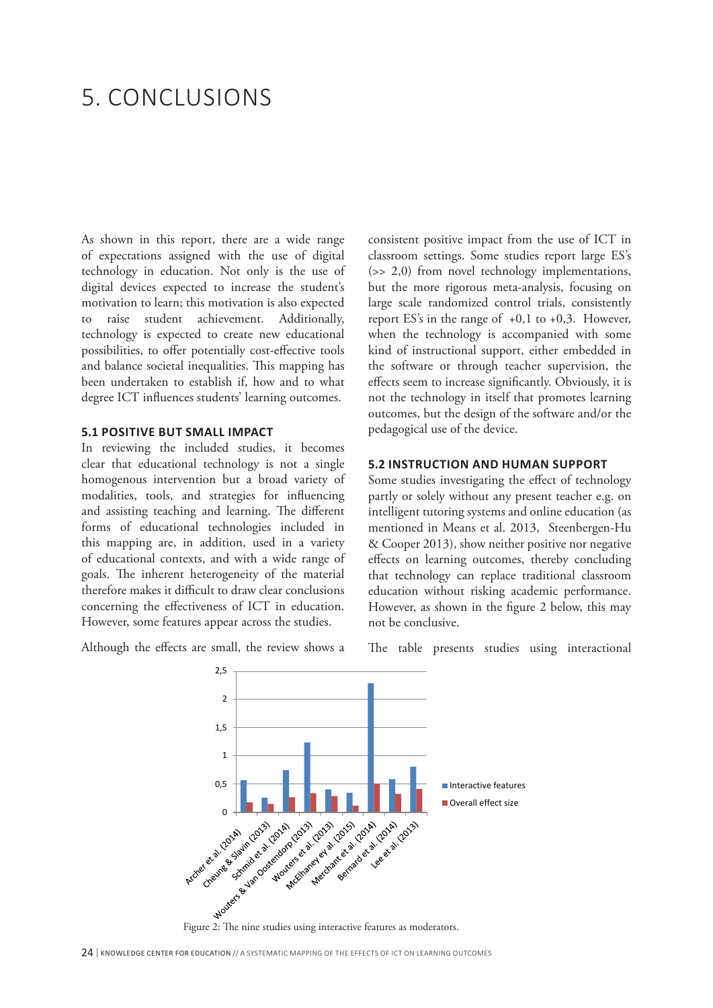# 5. CONCLUSIONS

As shown in this report, there are a wide range of expectations assigned with the use of digital technology in education. Not only is the use of digital devices expected to increase the student's motivation to learn; this motivation is also expected to raise student achievement. Additionally, technology is expected to create new educational possibilities, to offer potentially cost-effective tools and balance societal inequalities. This mapping has been undertaken to establish if, how and to what degree ICT influences students' learning outcomes.

#### **5.1 POSITIVE BUT SMALL IMPACT**

In reviewing the included studies, it becomes clear that educational technology is not a single homogenous intervention but a broad variety of modalities, tools, and strategies for influencing and assisting teaching and learning. The different forms of educational technologies included in this mapping are, in addition, used in a variety of educational contexts, and with a wide range of goals. The inherent heterogeneity of the material therefore makes it difficult to draw clear conclusions concerning the effectiveness of ICT in education. However, some features appear across the studies.

Although the effects are small, the review shows a

consistent positive impact from the use of ICT in classroom settings. Some studies report large ES's (>> 2,0) from novel technology implementations, but the more rigorous meta-analysis, focusing on large scale randomized control trials, consistently report ES's in the range of  $+0,1$  to  $+0,3$ . However, when the technology is accompanied with some kind of instructional support, either embedded in the software or through teacher supervision, the effects seem to increase significantly. Obviously, it is not the technology in itself that promotes learning outcomes, but the design of the software and/or the pedagogical use of the device.

#### **5.2 INSTRUCTION AND HUMAN SUPPORT**

Some studies investigating the effect of technology partly or solely without any present teacher e.g. on intelligent tutoring systems and online education (as mentioned in Means et al. 2013, Steenbergen-Hu & Cooper 2013), show neither positive nor negative effects on learning outcomes, thereby concluding that technology can replace traditional classroom education without risking academic performance. However, as shown in the figure 2 below, this may not be conclusive.





24 | KNOWLEDGE CENTER FOR EDUCATION // A SYSTEMATIC MAPPING OF THE EFFECTS OF ICT ON LEARNING OUTCOMES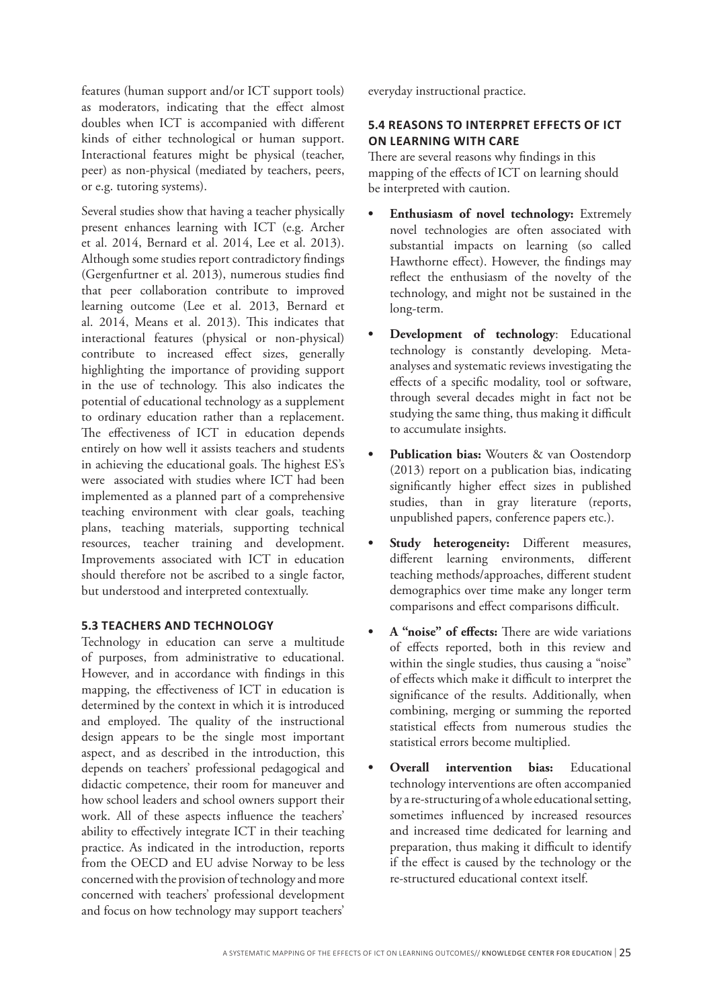features (human support and/or ICT support tools) as moderators, indicating that the effect almost doubles when ICT is accompanied with different kinds of either technological or human support. Interactional features might be physical (teacher, peer) as non-physical (mediated by teachers, peers, or e.g. tutoring systems).

Several studies show that having a teacher physically present enhances learning with ICT (e.g. Archer et al. 2014, Bernard et al. 2014, Lee et al. 2013). Although some studies report contradictory findings (Gergenfurtner et al. 2013), numerous studies find that peer collaboration contribute to improved learning outcome (Lee et al. 2013, Bernard et al. 2014, Means et al. 2013). This indicates that interactional features (physical or non-physical) contribute to increased effect sizes, generally highlighting the importance of providing support in the use of technology. This also indicates the potential of educational technology as a supplement to ordinary education rather than a replacement. The effectiveness of ICT in education depends entirely on how well it assists teachers and students in achieving the educational goals. The highest ES's were associated with studies where ICT had been implemented as a planned part of a comprehensive teaching environment with clear goals, teaching plans, teaching materials, supporting technical resources, teacher training and development. Improvements associated with ICT in education should therefore not be ascribed to a single factor, but understood and interpreted contextually.

#### **5.3 TEACHERS AND TECHNOLOGY**

Technology in education can serve a multitude of purposes, from administrative to educational. However, and in accordance with findings in this mapping, the effectiveness of ICT in education is determined by the context in which it is introduced and employed. The quality of the instructional design appears to be the single most important aspect, and as described in the introduction, this depends on teachers' professional pedagogical and didactic competence, their room for maneuver and how school leaders and school owners support their work. All of these aspects influence the teachers' ability to effectively integrate ICT in their teaching practice. As indicated in the introduction, reports from the OECD and EU advise Norway to be less concerned with the provision of technology and more concerned with teachers' professional development and focus on how technology may support teachers'

everyday instructional practice.

## **5.4 REASONS TO INTERPRET EFFECTS OF ICT ON LEARNING WITH CARE**

There are several reasons why findings in this mapping of the effects of ICT on learning should be interpreted with caution.

- **• Enthusiasm of novel technology:** Extremely novel technologies are often associated with substantial impacts on learning (so called Hawthorne effect). However, the findings may reflect the enthusiasm of the novelty of the technology, and might not be sustained in the long-term.
- **• Development of technology**: Educational technology is constantly developing. Metaanalyses and systematic reviews investigating the effects of a specific modality, tool or software, through several decades might in fact not be studying the same thing, thus making it difficult to accumulate insights.
- **• Publication bias:** Wouters & van Oostendorp (2013) report on a publication bias, indicating significantly higher effect sizes in published studies, than in gray literature (reports, unpublished papers, conference papers etc.).
- **• Study heterogeneity:** Different measures, different learning environments, different teaching methods/approaches, different student demographics over time make any longer term comparisons and effect comparisons difficult.
- **• A "noise" of effects:** There are wide variations of effects reported, both in this review and within the single studies, thus causing a "noise" of effects which make it difficult to interpret the significance of the results. Additionally, when combining, merging or summing the reported statistical effects from numerous studies the statistical errors become multiplied.
- **• Overall intervention bias:** Educational technology interventions are often accompanied by a re-structuring of a whole educational setting, sometimes influenced by increased resources and increased time dedicated for learning and preparation, thus making it difficult to identify if the effect is caused by the technology or the re-structured educational context itself.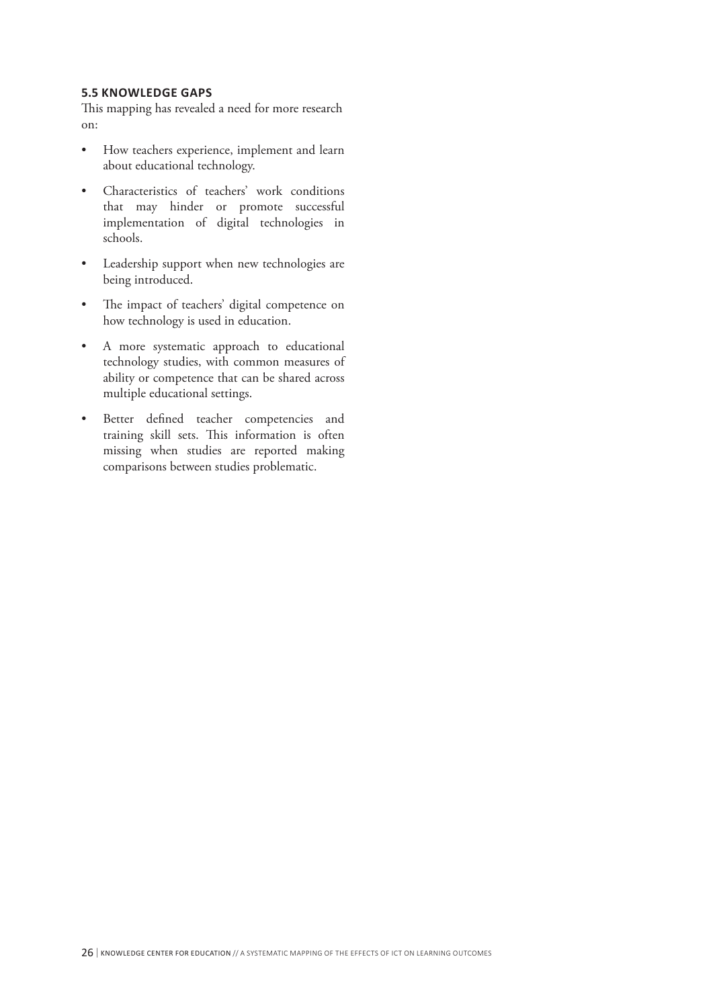#### **5.5 KNOWLEDGE GAPS**

This mapping has revealed a need for more research on:

- How teachers experience, implement and learn about educational technology.
- Characteristics of teachers' work conditions that may hinder or promote successful implementation of digital technologies in schools.
- Leadership support when new technologies are being introduced.
- The impact of teachers' digital competence on how technology is used in education.
- A more systematic approach to educational technology studies, with common measures of ability or competence that can be shared across multiple educational settings.
- Better defined teacher competencies and training skill sets. This information is often missing when studies are reported making comparisons between studies problematic.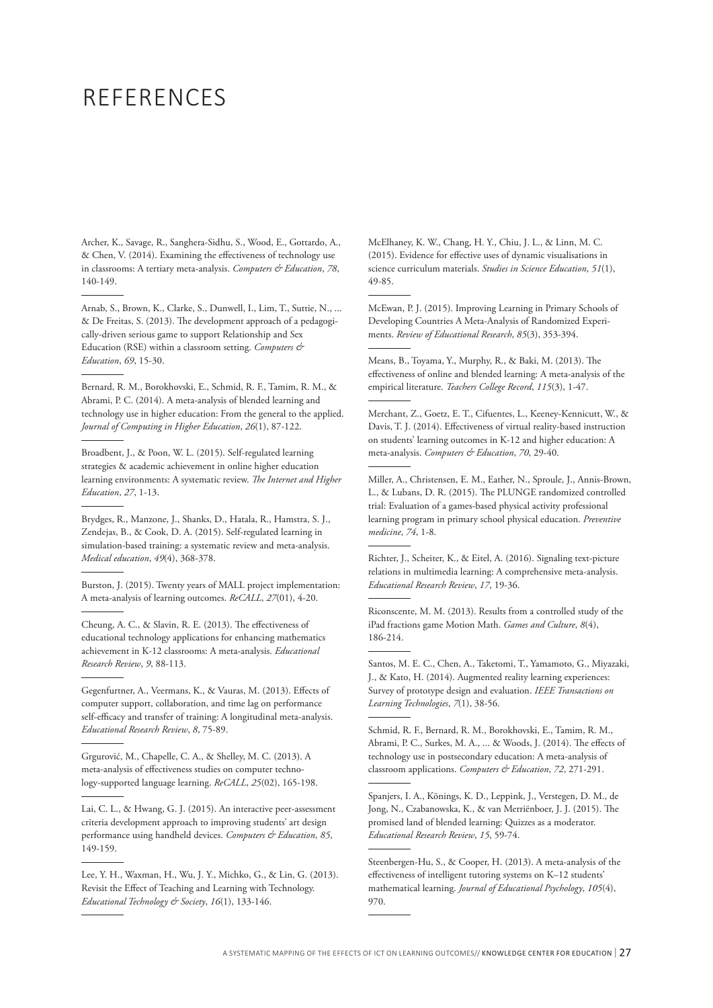# REFERENCES

Archer, K., Savage, R., Sanghera-Sidhu, S., Wood, E., Gottardo, A., & Chen, V. (2014). Examining the effectiveness of technology use in classrooms: A tertiary meta-analysis. *Computers & Education*, *78*, 140-149.

Arnab, S., Brown, K., Clarke, S., Dunwell, I., Lim, T., Suttie, N., ... & De Freitas, S. (2013). The development approach of a pedagogically-driven serious game to support Relationship and Sex Education (RSE) within a classroom setting. *Computers & Education*, *69*, 15-30.

Bernard, R. M., Borokhovski, E., Schmid, R. F., Tamim, R. M., & Abrami, P. C. (2014). A meta-analysis of blended learning and technology use in higher education: From the general to the applied. *Journal of Computing in Higher Education*, *26*(1), 87-122.

Broadbent, J., & Poon, W. L. (2015). Self-regulated learning strategies & academic achievement in online higher education learning environments: A systematic review. *The Internet and Higher Education*, *27*, 1-13.

Brydges, R., Manzone, J., Shanks, D., Hatala, R., Hamstra, S. J., Zendejas, B., & Cook, D. A. (2015). Self‐regulated learning in simulation-based training: a systematic review and meta-analysis. *Medical education*, *49*(4), 368-378.

Burston, J. (2015). Twenty years of MALL project implementation: A meta-analysis of learning outcomes. *ReCALL*, *27*(01), 4-20.

Cheung, A. C., & Slavin, R. E. (2013). The effectiveness of educational technology applications for enhancing mathematics achievement in K-12 classrooms: A meta-analysis. *Educational Research Review*, *9*, 88-113.

Gegenfurtner, A., Veermans, K., & Vauras, M. (2013). Effects of computer support, collaboration, and time lag on performance self-efficacy and transfer of training: A longitudinal meta-analysis. *Educational Research Review*, *8*, 75-89.

Grgurović, M., Chapelle, C. A., & Shelley, M. C. (2013). A meta-analysis of effectiveness studies on computer technology-supported language learning. *ReCALL*, *25*(02), 165-198.

Lai, C. L., & Hwang, G. J. (2015). An interactive peer-assessment criteria development approach to improving students' art design performance using handheld devices. *Computers & Education*, *85*, 149-159.

Lee, Y. H., Waxman, H., Wu, J. Y., Michko, G., & Lin, G. (2013). Revisit the Effect of Teaching and Learning with Technology. *Educational Technology & Society*, *16*(1), 133-146.

McElhaney, K. W., Chang, H. Y., Chiu, J. L., & Linn, M. C. (2015). Evidence for effective uses of dynamic visualisations in science curriculum materials. *Studies in Science Education*, *51*(1), 49-85.

McEwan, P. J. (2015). Improving Learning in Primary Schools of Developing Countries A Meta-Analysis of Randomized Experiments. *Review of Educational Research*, *85*(3), 353-394.

Means, B., Toyama, Y., Murphy, R., & Baki, M. (2013). The effectiveness of online and blended learning: A meta-analysis of the empirical literature. *Teachers College Record*, *115*(3), 1-47.

Merchant, Z., Goetz, E. T., Cifuentes, L., Keeney-Kennicutt, W., & Davis, T. J. (2014). Effectiveness of virtual reality-based instruction on students' learning outcomes in K-12 and higher education: A meta-analysis. *Computers & Education*, *70*, 29-40.

Miller, A., Christensen, E. M., Eather, N., Sproule, J., Annis-Brown, L., & Lubans, D. R. (2015). The PLUNGE randomized controlled trial: Evaluation of a games-based physical activity professional learning program in primary school physical education. *Preventive medicine*, *74*, 1-8.

Richter, J., Scheiter, K., & Eitel, A. (2016). Signaling text-picture relations in multimedia learning: A comprehensive meta-analysis. *Educational Research Review*, *17*, 19-36.

Riconscente, M. M. (2013). Results from a controlled study of the iPad fractions game Motion Math. *Games and Culture*, *8*(4), 186-214.

Santos, M. E. C., Chen, A., Taketomi, T., Yamamoto, G., Miyazaki, J., & Kato, H. (2014). Augmented reality learning experiences: Survey of prototype design and evaluation. *IEEE Transactions on Learning Technologies*, *7*(1), 38-56.

Schmid, R. F., Bernard, R. M., Borokhovski, E., Tamim, R. M., Abrami, P. C., Surkes, M. A., ... & Woods, J. (2014). The effects of technology use in postsecondary education: A meta-analysis of classroom applications. *Computers & Education*, *72*, 271-291.

Spanjers, I. A., Könings, K. D., Leppink, J., Verstegen, D. M., de Jong, N., Czabanowska, K., & van Merriënboer, J. J. (2015). The promised land of blended learning: Quizzes as a moderator. *Educational Research Review*, *15*, 59-74.

Steenbergen-Hu, S., & Cooper, H. (2013). A meta-analysis of the effectiveness of intelligent tutoring systems on K–12 students' mathematical learning. *Journal of Educational Psychology*, *105*(4), 970.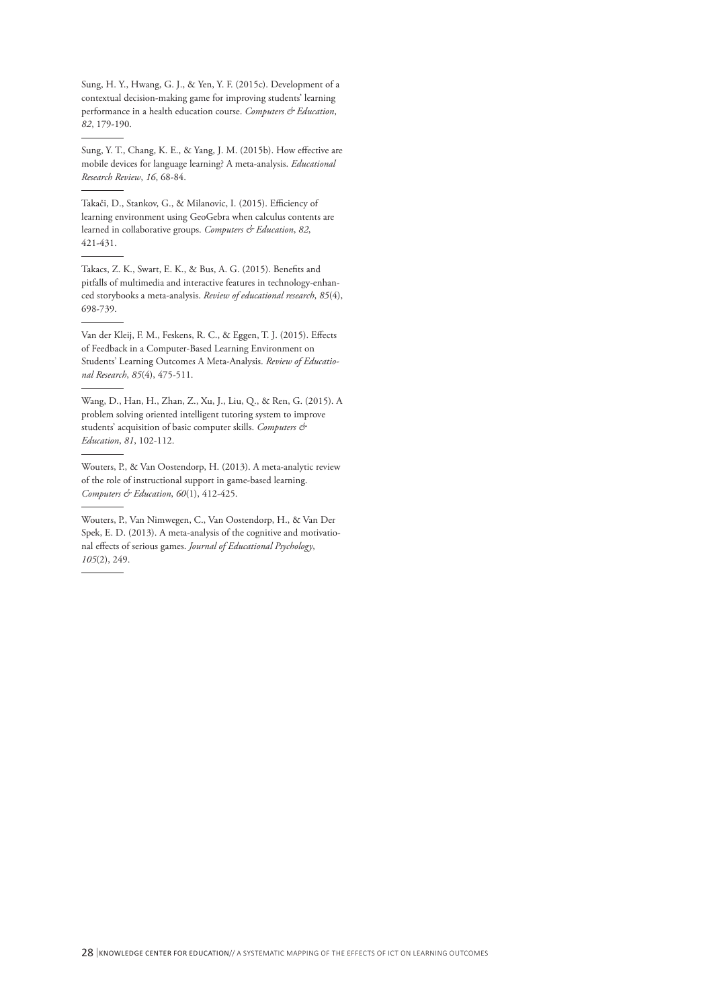Sung, H. Y., Hwang, G. J., & Yen, Y. F. (2015c). Development of a contextual decision-making game for improving students' learning performance in a health education course. *Computers & Education*, *82*, 179-190.

Sung, Y. T., Chang, K. E., & Yang, J. M. (2015b). How effective are mobile devices for language learning? A meta-analysis. *Educational Research Review*, *16*, 68-84.

Takači, D., Stankov, G., & Milanovic, I. (2015). Efficiency of learning environment using GeoGebra when calculus contents are learned in collaborative groups. *Computers & Education*, *82*, 421-431.

Takacs, Z. K., Swart, E. K., & Bus, A. G. (2015). Benefits and pitfalls of multimedia and interactive features in technology-enhanced storybooks a meta-analysis. *Review of educational research*, *85*(4), 698-739.

Van der Kleij, F. M., Feskens, R. C., & Eggen, T. J. (2015). Effects of Feedback in a Computer-Based Learning Environment on Students' Learning Outcomes A Meta-Analysis. *Review of Educational Research*, *85*(4), 475-511.

Wang, D., Han, H., Zhan, Z., Xu, J., Liu, Q., & Ren, G. (2015). A problem solving oriented intelligent tutoring system to improve students' acquisition of basic computer skills. *Computers & Education*, *81*, 102-112.

Wouters, P., & Van Oostendorp, H. (2013). A meta-analytic review of the role of instructional support in game-based learning. *Computers & Education*, *60*(1), 412-425.

Wouters, P., Van Nimwegen, C., Van Oostendorp, H., & Van Der Spek, E. D. (2013). A meta-analysis of the cognitive and motivational effects of serious games. *Journal of Educational Psychology*, *105*(2), 249.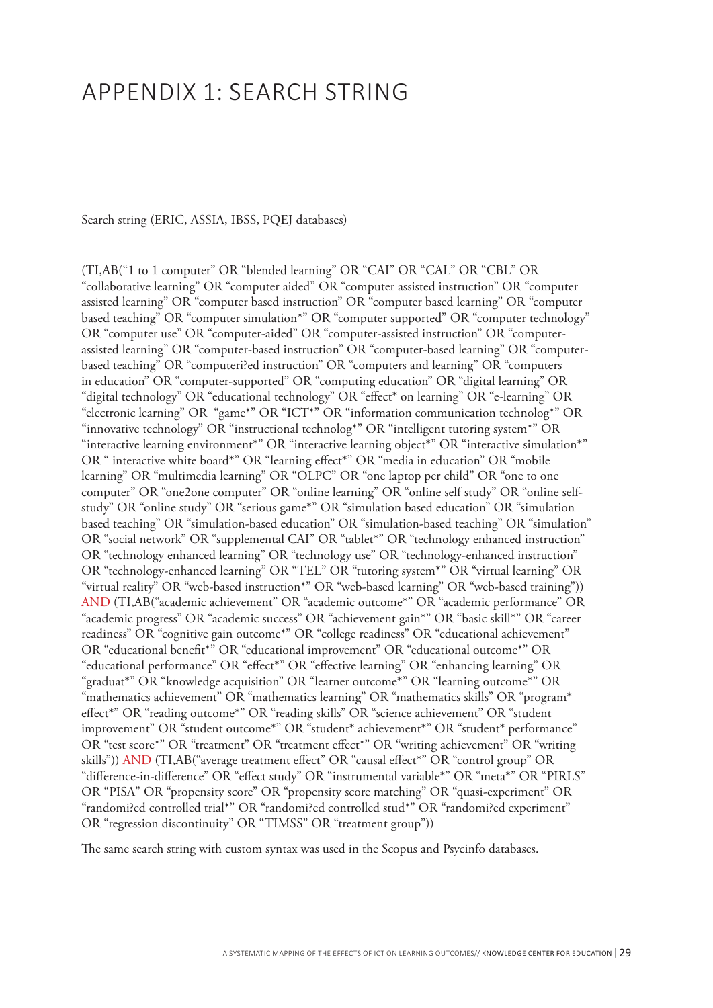# APPENDIX 1: SEARCH STRING

Search string (ERIC, ASSIA, IBSS, PQEJ databases)

(TI,AB("1 to 1 computer" OR "blended learning" OR "CAI" OR "CAL" OR "CBL" OR "collaborative learning" OR "computer aided" OR "computer assisted instruction" OR "computer assisted learning" OR "computer based instruction" OR "computer based learning" OR "computer based teaching" OR "computer simulation\*" OR "computer supported" OR "computer technology" OR "computer use" OR "computer-aided" OR "computer-assisted instruction" OR "computerassisted learning" OR "computer-based instruction" OR "computer-based learning" OR "computerbased teaching" OR "computeri?ed instruction" OR "computers and learning" OR "computers in education" OR "computer-supported" OR "computing education" OR "digital learning" OR "digital technology" OR "educational technology" OR "effect\* on learning" OR "e-learning" OR "electronic learning" OR "game\*" OR "ICT\*" OR "information communication technolog\*" OR "innovative technology" OR "instructional technolog\*" OR "intelligent tutoring system\*" OR "interactive learning environment\*" OR "interactive learning object\*" OR "interactive simulation\*" OR " interactive white board\*" OR "learning effect\*" OR "media in education" OR "mobile learning" OR "multimedia learning" OR "OLPC" OR "one laptop per child" OR "one to one computer" OR "one2one computer" OR "online learning" OR "online self study" OR "online selfstudy" OR "online study" OR "serious game\*" OR "simulation based education" OR "simulation based teaching" OR "simulation-based education" OR "simulation-based teaching" OR "simulation" OR "social network" OR "supplemental CAI" OR "tablet\*" OR "technology enhanced instruction" OR "technology enhanced learning" OR "technology use" OR "technology-enhanced instruction" OR "technology-enhanced learning" OR "TEL" OR "tutoring system\*" OR "virtual learning" OR "virtual reality" OR "web-based instruction\*" OR "web-based learning" OR "web-based training")) AND (TI,AB("academic achievement" OR "academic outcome\*" OR "academic performance" OR "academic progress" OR "academic success" OR "achievement gain\*" OR "basic skill\*" OR "career readiness" OR "cognitive gain outcome\*" OR "college readiness" OR "educational achievement" OR "educational benefit\*" OR "educational improvement" OR "educational outcome\*" OR "educational performance" OR "effect\*" OR "effective learning" OR "enhancing learning" OR "graduat\*" OR "knowledge acquisition" OR "learner outcome\*" OR "learning outcome\*" OR "mathematics achievement" OR "mathematics learning" OR "mathematics skills" OR "program\* effect\*" OR "reading outcome\*" OR "reading skills" OR "science achievement" OR "student improvement" OR "student outcome\*" OR "student\* achievement\*" OR "student\* performance" OR "test score\*" OR "treatment" OR "treatment effect\*" OR "writing achievement" OR "writing skills")) AND (TI,AB("average treatment effect" OR "causal effect\*" OR "control group" OR "difference-in-difference" OR "effect study" OR "instrumental variable\*" OR "meta\*" OR "PIRLS" OR "PISA" OR "propensity score" OR "propensity score matching" OR "quasi-experiment" OR "randomi?ed controlled trial\*" OR "randomi?ed controlled stud\*" OR "randomi?ed experiment" OR "regression discontinuity" OR "TIMSS" OR "treatment group"))

The same search string with custom syntax was used in the Scopus and Psycinfo databases.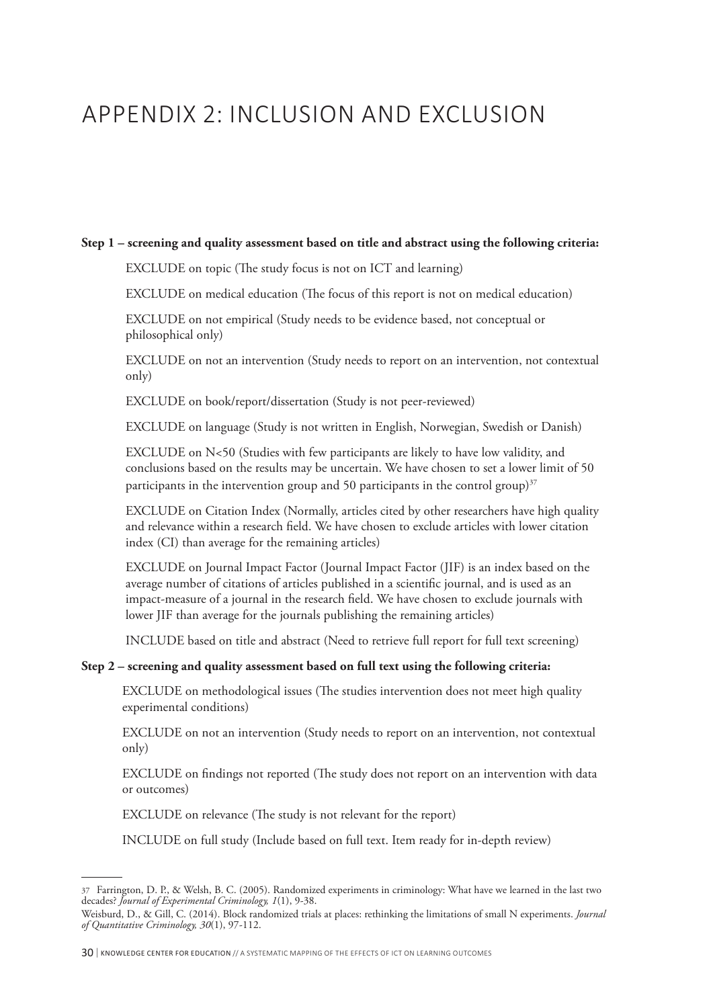# APPENDIX 2: INCLUSION AND EXCLUSION

#### **Step 1 – screening and quality assessment based on title and abstract using the following criteria:**

EXCLUDE on topic (The study focus is not on ICT and learning)

EXCLUDE on medical education (The focus of this report is not on medical education)

EXCLUDE on not empirical (Study needs to be evidence based, not conceptual or philosophical only)

EXCLUDE on not an intervention (Study needs to report on an intervention, not contextual only)

EXCLUDE on book/report/dissertation (Study is not peer-reviewed)

EXCLUDE on language (Study is not written in English, Norwegian, Swedish or Danish)

EXCLUDE on N<50 (Studies with few participants are likely to have low validity, and conclusions based on the results may be uncertain. We have chosen to set a lower limit of 50 participants in the intervention group and 50 participants in the control group) $37$ 

EXCLUDE on Citation Index (Normally, articles cited by other researchers have high quality and relevance within a research field. We have chosen to exclude articles with lower citation index (CI) than average for the remaining articles)

EXCLUDE on Journal Impact Factor (Journal Impact Factor (JIF) is an index based on the average number of citations of articles published in a scientific journal, and is used as an impact-measure of a journal in the research field. We have chosen to exclude journals with lower JIF than average for the journals publishing the remaining articles)

INCLUDE based on title and abstract (Need to retrieve full report for full text screening)

#### **Step 2 – screening and quality assessment based on full text using the following criteria:**

EXCLUDE on methodological issues (The studies intervention does not meet high quality experimental conditions)

EXCLUDE on not an intervention (Study needs to report on an intervention, not contextual only)

EXCLUDE on findings not reported (The study does not report on an intervention with data or outcomes)

EXCLUDE on relevance (The study is not relevant for the report)

INCLUDE on full study (Include based on full text. Item ready for in-depth review)

<sup>37</sup> Farrington, D. P., & Welsh, B. C. (2005). Randomized experiments in criminology: What have we learned in the last two decades? *Journal of Experimental Criminology, 1*(1), 9-38.

Weisburd, D., & Gill, C. (2014). Block randomized trials at places: rethinking the limitations of small N experiments. *Journal of Quantitative Criminology, 30*(1), 97-112.

<sup>30</sup> <sup>|</sup> KNOWLEDGE CENTER FOR EDUCATION // A SYSTEMATIC MAPPING OF THE EFFECTS OF ICT ON LEARNING OUTCOMES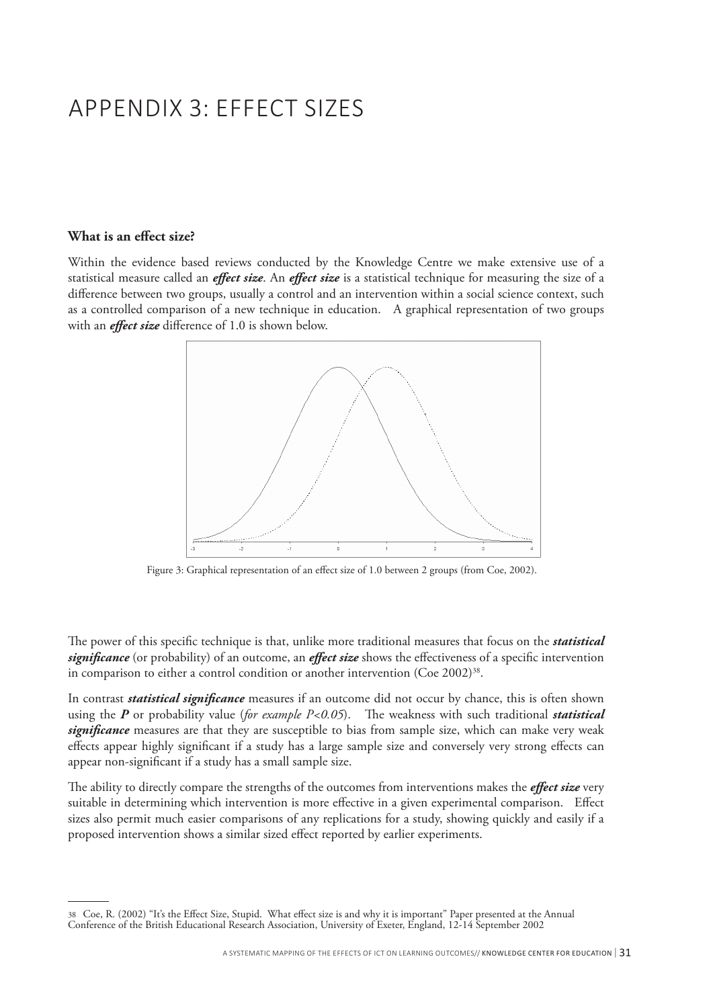# APPENDIX 3: EFFECT SIZES

#### **What is an effect size?**

Within the evidence based reviews conducted by the Knowledge Centre we make extensive use of a statistical measure called an *effect size*. An *effect size* is a statistical technique for measuring the size of a difference between two groups, usually a control and an intervention within a social science context, such as a controlled comparison of a new technique in education. A graphical representation of two groups with an *effect size* difference of 1.0 is shown below.



Figure 3: Graphical representation of an effect size of 1.0 between 2 groups (from Coe, 2002).

The power of this specific technique is that, unlike more traditional measures that focus on the *statistical significance* (or probability) of an outcome, an *effect size* shows the effectiveness of a specific intervention in comparison to either a control condition or another intervention (Coe 2002)<sup>38</sup>.

In contrast *statistical significance* measures if an outcome did not occur by chance, this is often shown using the *P* or probability value (*for example P<0.05*). The weakness with such traditional *statistical significance* measures are that they are susceptible to bias from sample size, which can make very weak effects appear highly significant if a study has a large sample size and conversely very strong effects can appear non-significant if a study has a small sample size.

The ability to directly compare the strengths of the outcomes from interventions makes the *effect size* very suitable in determining which intervention is more effective in a given experimental comparison. Effect sizes also permit much easier comparisons of any replications for a study, showing quickly and easily if a proposed intervention shows a similar sized effect reported by earlier experiments.

<sup>38</sup> Coe, R. (2002) "It's the Effect Size, Stupid. What effect size is and why it is important" Paper presented at the Annual Conference of the British Educational Research Association, University of Exeter, England, 12-14 September 2002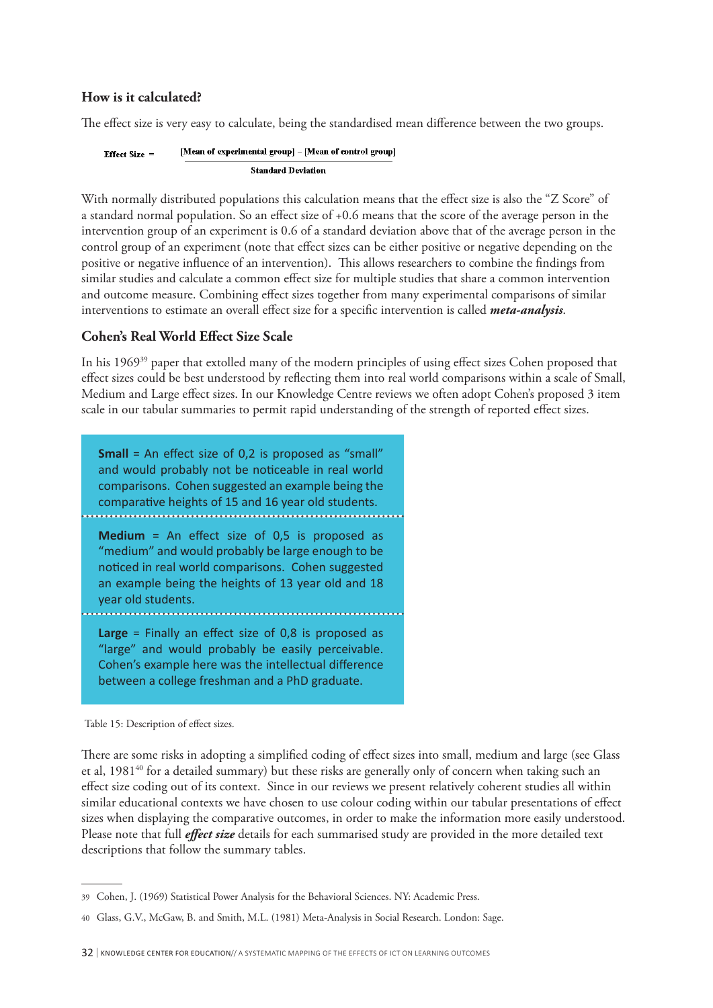## **How is it calculated?**

The effect size is very easy to calculate, being the standardised mean difference between the two groups.

[Mean of experimental group] - [Mean of control group] Effect Size  $=$ **Standard Deviation** 

With normally distributed populations this calculation means that the effect size is also the "Z Score" of a standard normal population. So an effect size of +0.6 means that the score of the average person in the intervention group of an experiment is 0.6 of a standard deviation above that of the average person in the control group of an experiment (note that effect sizes can be either positive or negative depending on the positive or negative influence of an intervention). This allows researchers to combine the findings from similar studies and calculate a common effect size for multiple studies that share a common intervention and outcome measure. Combining effect sizes together from many experimental comparisons of similar interventions to estimate an overall effect size for a specific intervention is called *meta-analysis*.

# **Cohen's Real World Effect Size Scale**

In his 196939 paper that extolled many of the modern principles of using effect sizes Cohen proposed that effect sizes could be best understood by reflecting them into real world comparisons within a scale of Small, Medium and Large effect sizes. In our Knowledge Centre reviews we often adopt Cohen's proposed 3 item scale in our tabular summaries to permit rapid understanding of the strength of reported effect sizes.

**Small** = An effect size of 0,2 is proposed as "small" and would probably not be noticeable in real world comparisons. Cohen suggested an example being the comparative heights of 15 and 16 year old students. **Medium** = An effect size of 0,5 is proposed as "medium" and would probably be large enough to be noticed in real world comparisons. Cohen suggested an example being the heights of 13 year old and 18 year old students. **Large** = Finally an effect size of 0,8 is proposed as "large" and would probably be easily perceivable. Cohen's example here was the intellectual difference between a college freshman and a PhD graduate.

There are some risks in adopting a simplified coding of effect sizes into small, medium and large (see Glass et al, 1981<sup>40</sup> for a detailed summary) but these risks are generally only of concern when taking such an effect size coding out of its context. Since in our reviews we present relatively coherent studies all within similar educational contexts we have chosen to use colour coding within our tabular presentations of effect sizes when displaying the comparative outcomes, in order to make the information more easily understood. Please note that full *effect size* details for each summarised study are provided in the more detailed text descriptions that follow the summary tables.

Table 15: Description of effect sizes.

<sup>39</sup> Cohen, J. (1969) Statistical Power Analysis for the Behavioral Sciences. NY: Academic Press.

<sup>40</sup> Glass, G.V., McGaw, B. and Smith, M.L. (1981) Meta-Analysis in Social Research. London: Sage.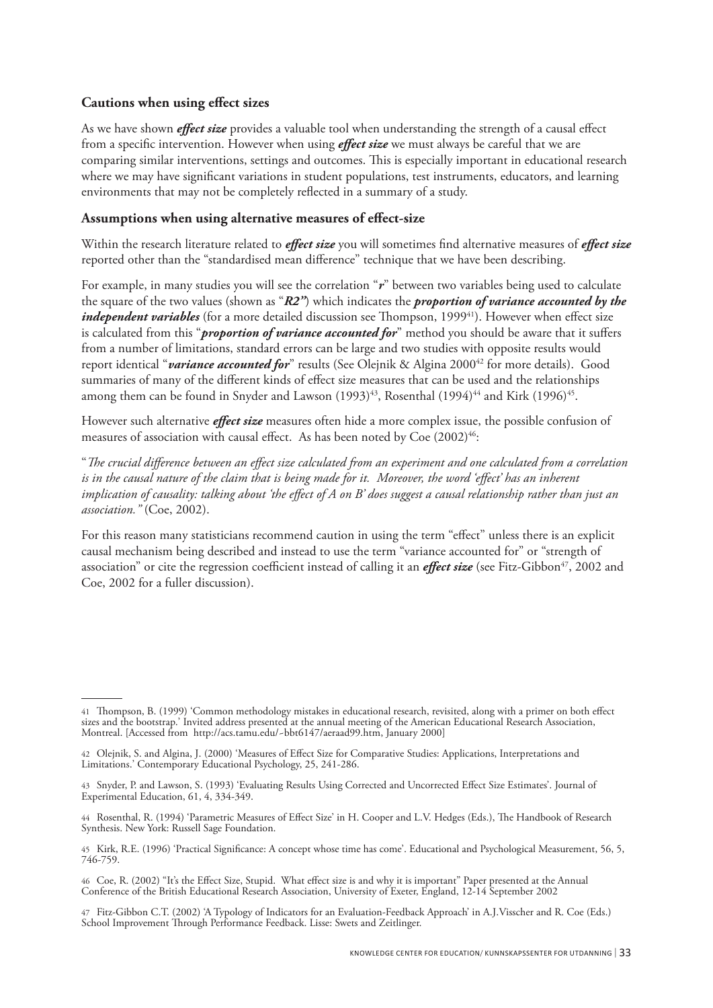## **Cautions when using effect sizes**

As we have shown *effect size* provides a valuable tool when understanding the strength of a causal effect from a specific intervention. However when using *effect size* we must always be careful that we are comparing similar interventions, settings and outcomes. This is especially important in educational research where we may have significant variations in student populations, test instruments, educators, and learning environments that may not be completely reflected in a summary of a study.

### **Assumptions when using alternative measures of effect-size**

Within the research literature related to *effect size* you will sometimes find alternative measures of *effect size* reported other than the "standardised mean difference" technique that we have been describing.

For example, in many studies you will see the correlation "*r*" between two variables being used to calculate the square of the two values (shown as "*R2"*) which indicates the *proportion of variance accounted by the independent variables* (for a more detailed discussion see Thompson, 1999<sup>41</sup>). However when effect size is calculated from this "*proportion of variance accounted for*" method you should be aware that it suffers from a number of limitations, standard errors can be large and two studies with opposite results would report identical "*variance accounted for*" results (See Olejnik & Algina 2000<sup>42</sup> for more details). Good summaries of many of the different kinds of effect size measures that can be used and the relationships among them can be found in Snyder and Lawson (1993)<sup>43</sup>, Rosenthal (1994)<sup>44</sup> and Kirk (1996)<sup>45</sup>.

However such alternative *effect size* measures often hide a more complex issue, the possible confusion of measures of association with causal effect. As has been noted by  $Coe(2002)^{46}$ :

"*The crucial difference between an effect size calculated from an experiment and one calculated from a correlation is in the causal nature of the claim that is being made for it. Moreover, the word 'effect' has an inherent implication of causality: talking about 'the effect of A on B' does suggest a causal relationship rather than just an association."* (Coe, 2002).

For this reason many statisticians recommend caution in using the term "effect" unless there is an explicit causal mechanism being described and instead to use the term "variance accounted for" or "strength of association" or cite the regression coefficient instead of calling it an *effect size* (see Fitz-Gibbon<sup>47</sup>, 2002 and Coe, 2002 for a fuller discussion).

<sup>41</sup> Thompson, B. (1999) 'Common methodology mistakes in educational research, revisited, along with a primer on both effect sizes and the bootstrap.' Invited address presented at the annual meeting of the American Educational Research Association, Montreal. [Accessed from http://acs.tamu.edu/~bbt6147/aeraad99.htm, January 2000]

<sup>42</sup> Olejnik, S. and Algina, J. (2000) 'Measures of Effect Size for Comparative Studies: Applications, Interpretations and Limitations.' Contemporary Educational Psychology, 25, 241-286.

<sup>43</sup> Snyder, P. and Lawson, S. (1993) 'Evaluating Results Using Corrected and Uncorrected Effect Size Estimates'. Journal of Experimental Education, 61, 4, 334-349.

<sup>44</sup> Rosenthal, R. (1994) 'Parametric Measures of Effect Size' in H. Cooper and L.V. Hedges (Eds.), The Handbook of Research Synthesis. New York: Russell Sage Foundation.

<sup>45</sup> Kirk, R.E. (1996) 'Practical Significance: A concept whose time has come'. Educational and Psychological Measurement, 56, 5, 746-759.

<sup>46</sup> Coe, R. (2002) "It's the Effect Size, Stupid. What effect size is and why it is important" Paper presented at the Annual Conference of the British Educational Research Association, University of Exeter, England, 12-14 September 2002

<sup>47</sup> Fitz-Gibbon C.T. (2002) 'A Typology of Indicators for an Evaluation-Feedback Approach' in A.J.Visscher and R. Coe (Eds.) School Improvement Through Performance Feedback. Lisse: Swets and Zeitlinger.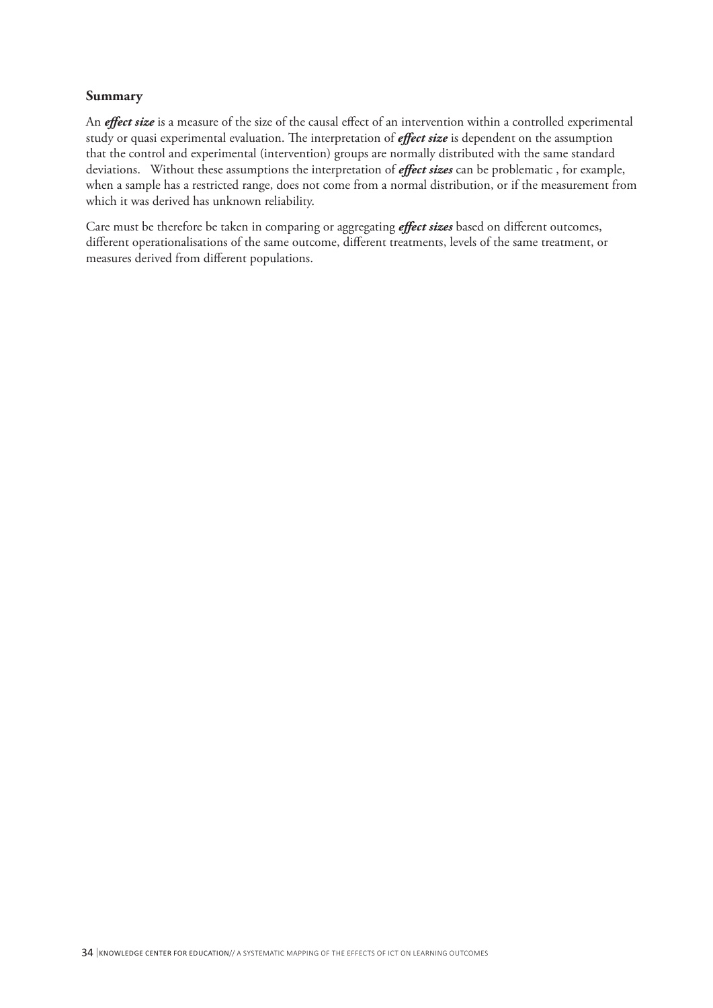### **Summary**

An *effect size* is a measure of the size of the causal effect of an intervention within a controlled experimental study or quasi experimental evaluation. The interpretation of *effect size* is dependent on the assumption that the control and experimental (intervention) groups are normally distributed with the same standard deviations. Without these assumptions the interpretation of *effect sizes* can be problematic , for example, when a sample has a restricted range, does not come from a normal distribution, or if the measurement from which it was derived has unknown reliability.

Care must be therefore be taken in comparing or aggregating *effect sizes* based on different outcomes, different operationalisations of the same outcome, different treatments, levels of the same treatment, or measures derived from different populations.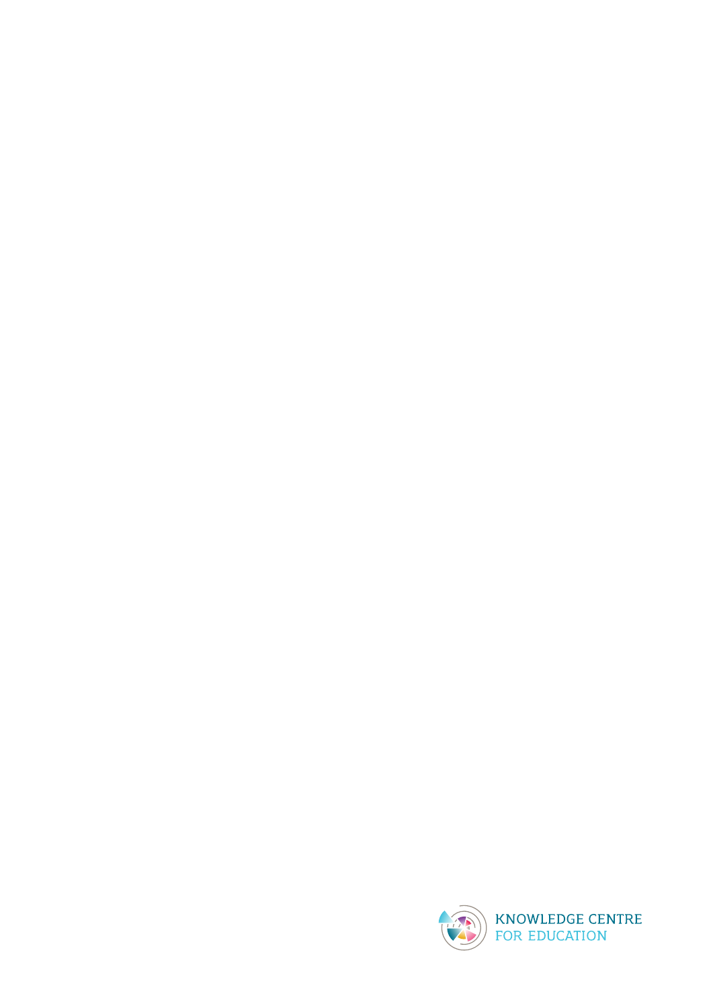